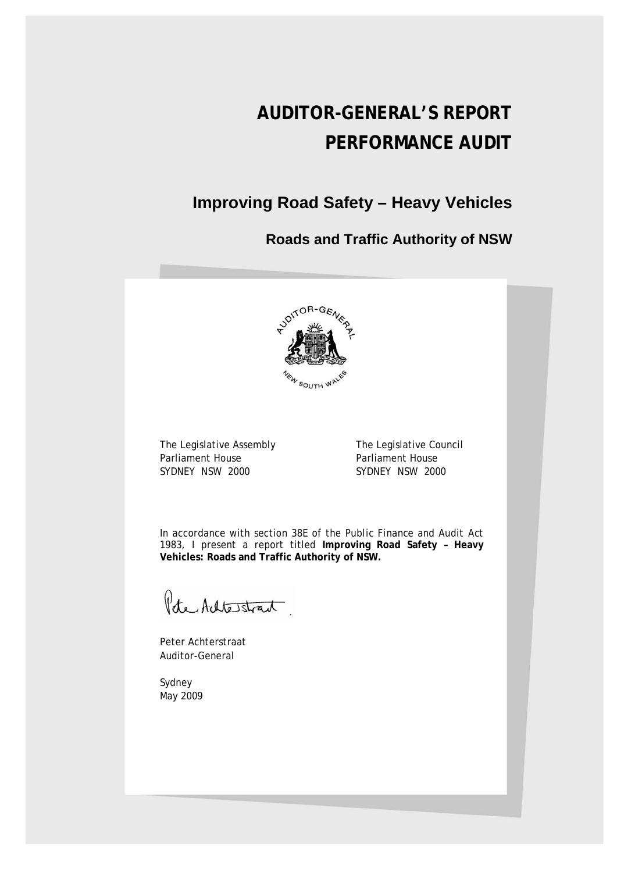# **AUDITOR-GENERAL'S REPORT PERFORMANCE AUDIT**

# **Improving Road Safety – Heavy Vehicles**

**Roads and Traffic Authority of NSW**



The Legislative Assembly The Legislative Council Parliament House<br>
SYDNEY NSW 2000<br>
SYDNEY NSW 2000

SYDNEY NSW 2000

In accordance with section 38E of the *Public Finance and Audit Act 1983*, I present a report titled **Improving Road Safety – Heavy Vehicles: Roads and Traffic Authority of NSW.**

Pete Achtestrant.

Peter Achterstraat Auditor-General

Sydney May 2009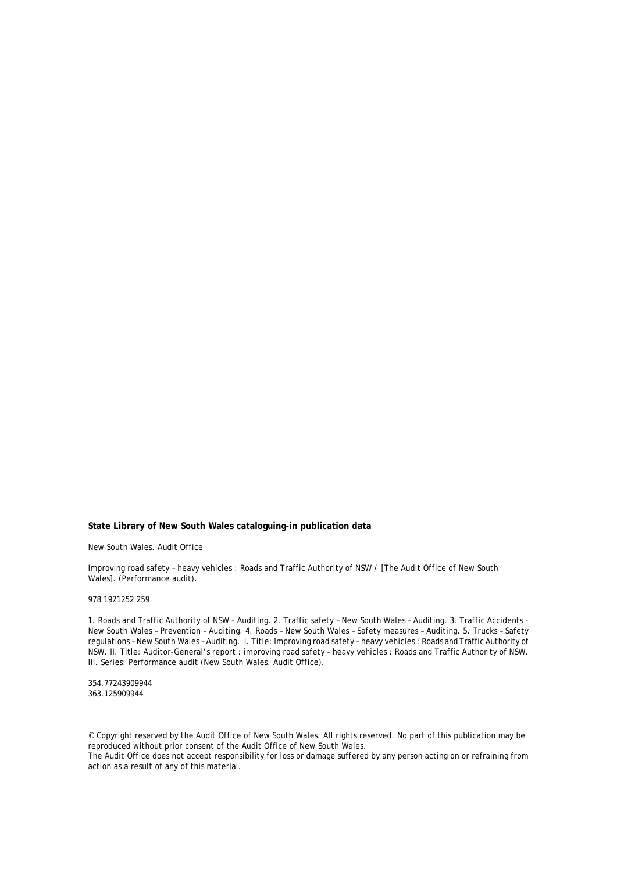#### **State Library of New South Wales cataloguing-in publication data**

New South Wales. Audit Office

Improving road safety – heavy vehicles : Roads and Traffic Authority of NSW / [The Audit Office of New South Wales]. (Performance audit).

#### 978 1921252 259

1. Roads and Traffic Authority of NSW - Auditing. 2. Traffic safety – New South Wales – Auditing. 3. Traffic Accidents - New South Wales – Prevention – Auditing. 4. Roads – New South Wales – Safety measures – Auditing. 5. Trucks – Safety regulations – New South Wales – Auditing. I. Title: Improving road safety – heavy vehicles : Roads and Traffic Authority of NSW. II. Title: Auditor-General's report : improving road safety – heavy vehicles : Roads and Traffic Authority of NSW. III. Series: Performance audit (New South Wales. Audit Office).

354.77243909944 363.125909944

© Copyright reserved by the Audit Office of New South Wales. All rights reserved. No part of this publication may be reproduced without prior consent of the Audit Office of New South Wales. The Audit Office does not accept responsibility for loss or damage suffered by any person acting on or refraining from

action as a result of any of this material.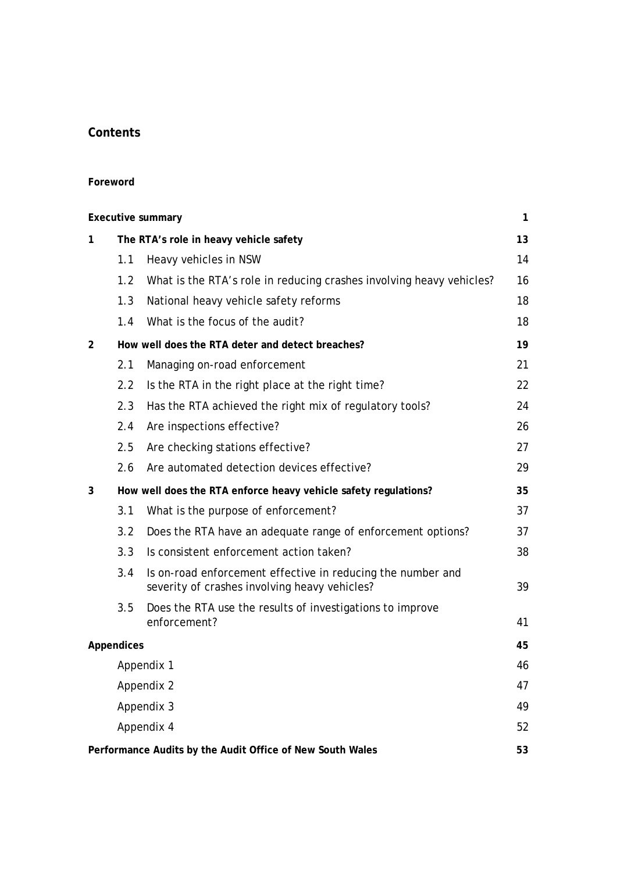# **Contents**

#### **Foreword**

| <b>Executive summary</b>                                  |                                        |                                                                                                              | $\mathbf{1}$ |  |
|-----------------------------------------------------------|----------------------------------------|--------------------------------------------------------------------------------------------------------------|--------------|--|
| 1                                                         | The RTA's role in heavy vehicle safety |                                                                                                              |              |  |
|                                                           | 1.1                                    | Heavy vehicles in NSW                                                                                        | 14           |  |
|                                                           | 1.2                                    | What is the RTA's role in reducing crashes involving heavy vehicles?                                         | 16           |  |
|                                                           | 1.3                                    | National heavy vehicle safety reforms                                                                        | 18           |  |
|                                                           | 1.4                                    | What is the focus of the audit?                                                                              | 18           |  |
| $\overline{2}$                                            |                                        | How well does the RTA deter and detect breaches?                                                             | 19           |  |
|                                                           | 2.1                                    | Managing on-road enforcement                                                                                 | 21           |  |
|                                                           | 2.2                                    | Is the RTA in the right place at the right time?                                                             | 22           |  |
|                                                           | 2.3                                    | Has the RTA achieved the right mix of regulatory tools?                                                      | 24           |  |
|                                                           | 2.4                                    | Are inspections effective?                                                                                   | 26           |  |
|                                                           | 2.5                                    | Are checking stations effective?                                                                             | 27           |  |
|                                                           | 2.6                                    | Are automated detection devices effective?                                                                   | 29           |  |
| 3                                                         |                                        | How well does the RTA enforce heavy vehicle safety regulations?                                              | 35           |  |
|                                                           | 3.1                                    | What is the purpose of enforcement?                                                                          | 37           |  |
|                                                           | 3.2                                    | Does the RTA have an adequate range of enforcement options?                                                  | 37           |  |
|                                                           | 3.3                                    | Is consistent enforcement action taken?                                                                      | 38           |  |
|                                                           | 3.4                                    | Is on-road enforcement effective in reducing the number and<br>severity of crashes involving heavy vehicles? | 39           |  |
|                                                           | 3.5                                    | Does the RTA use the results of investigations to improve<br>enforcement?                                    | 41           |  |
|                                                           | <b>Appendices</b>                      |                                                                                                              | 45           |  |
|                                                           | Appendix 1                             |                                                                                                              |              |  |
|                                                           | Appendix 2                             |                                                                                                              |              |  |
|                                                           | Appendix 3<br>49                       |                                                                                                              |              |  |
| Appendix 4                                                |                                        |                                                                                                              |              |  |
| Performance Audits by the Audit Office of New South Wales |                                        |                                                                                                              | 53           |  |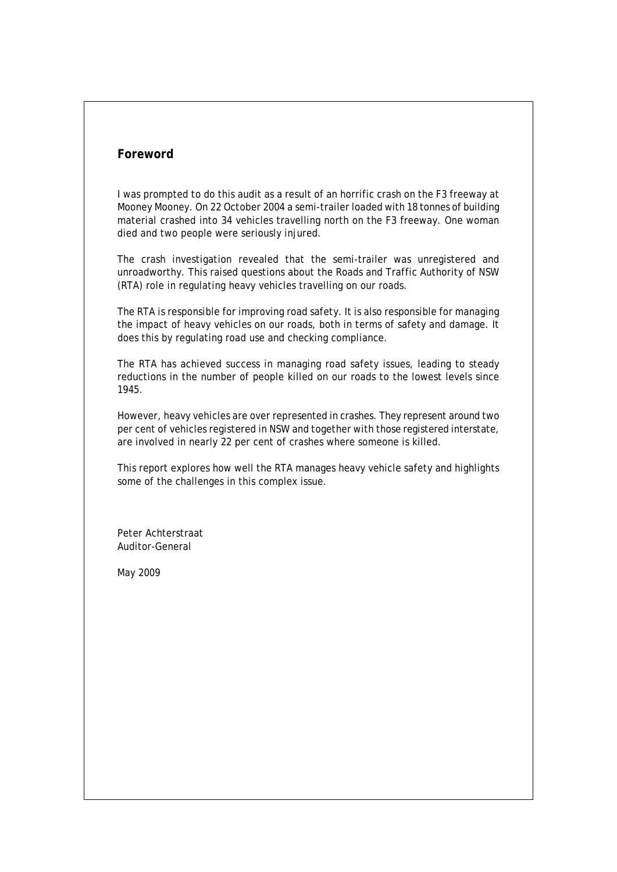## **Foreword**

I was prompted to do this audit as a result of an horrific crash on the F3 freeway at Mooney Mooney. On 22 October 2004 a semi-trailer loaded with 18 tonnes of building material crashed into 34 vehicles travelling north on the F3 freeway. One woman died and two people were seriously injured.

The crash investigation revealed that the semi-trailer was unregistered and unroadworthy. This raised questions about the Roads and Traffic Authority of NSW (RTA) role in regulating heavy vehicles travelling on our roads.

The RTA is responsible for improving road safety. It is also responsible for managing the impact of heavy vehicles on our roads, both in terms of safety and damage. It does this by regulating road use and checking compliance.

The RTA has achieved success in managing road safety issues, leading to steady reductions in the number of people killed on our roads to the lowest levels since 1945.

However, heavy vehicles are over represented in crashes. They represent around two per cent of vehicles registered in NSW and together with those registered interstate, are involved in nearly 22 per cent of crashes where someone is killed.

This report explores how well the RTA manages heavy vehicle safety and highlights some of the challenges in this complex issue.

Peter Achterstraat Auditor-General

May 2009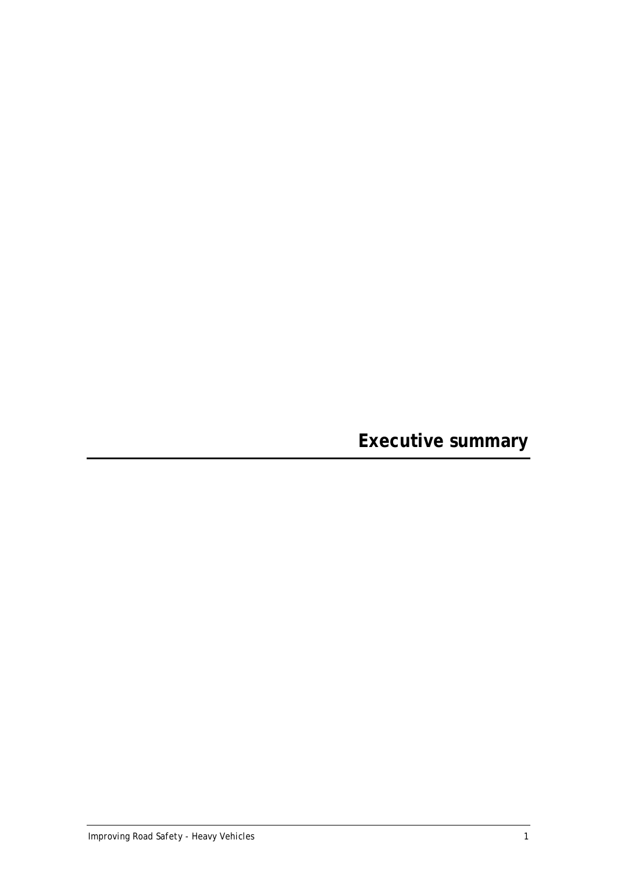<span id="page-6-0"></span>**Executive summary**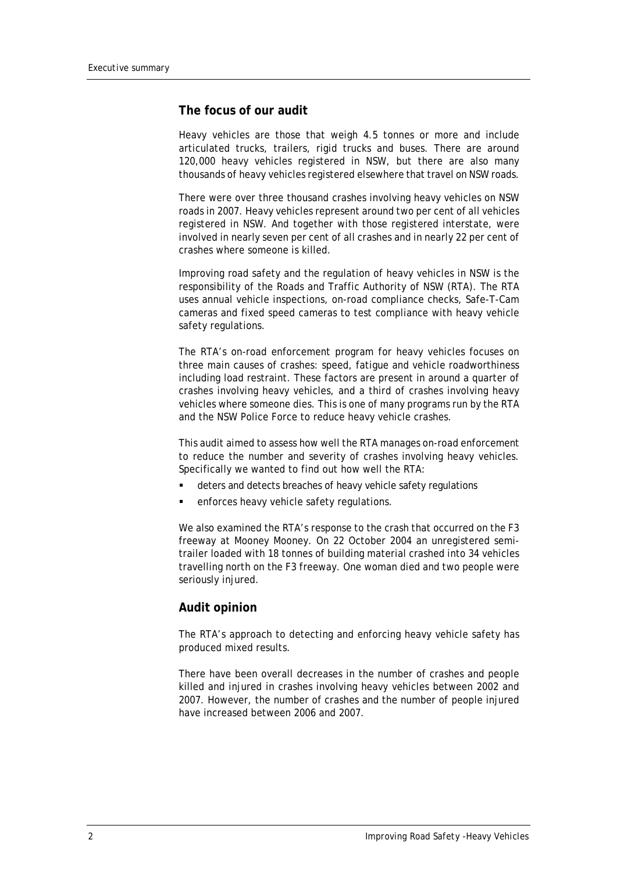### **The focus of our audit**

Heavy vehicles are those that weigh 4.5 tonnes or more and include articulated trucks, trailers, rigid trucks and buses. There are around 120,000 heavy vehicles registered in NSW, but there are also many thousands of heavy vehicles registered elsewhere that travel on NSW roads.

There were over three thousand crashes involving heavy vehicles on NSW roads in 2007. Heavy vehicles represent around two per cent of all vehicles registered in NSW. And together with those registered interstate, were involved in nearly seven per cent of all crashes and in nearly 22 per cent of crashes where someone is killed.

Improving road safety and the regulation of heavy vehicles in NSW is the responsibility of the Roads and Traffic Authority of NSW (RTA). The RTA uses annual vehicle inspections, on-road compliance checks, Safe-T-Cam cameras and fixed speed cameras to test compliance with heavy vehicle safety regulations.

The RTA's on-road enforcement program for heavy vehicles focuses on three main causes of crashes: speed, fatigue and vehicle roadworthiness including load restraint. These factors are present in around a quarter of crashes involving heavy vehicles, and a third of crashes involving heavy vehicles where someone dies. This is one of many programs run by the RTA and the NSW Police Force to reduce heavy vehicle crashes.

This audit aimed to assess how well the RTA manages on-road enforcement to reduce the number and severity of crashes involving heavy vehicles. Specifically we wanted to find out how well the RTA:

- deters and detects breaches of heavy vehicle safety regulations
- enforces heavy vehicle safety regulations.

We also examined the RTA's response to the crash that occurred on the F3 freeway at Mooney Mooney. On 22 October 2004 an unregistered semitrailer loaded with 18 tonnes of building material crashed into 34 vehicles travelling north on the F3 freeway. One woman died and two people were seriously injured.

#### **Audit opinion**

The RTA's approach to detecting and enforcing heavy vehicle safety has produced mixed results.

There have been overall decreases in the number of crashes and people killed and injured in crashes involving heavy vehicles between 2002 and 2007. However, the number of crashes and the number of people injured have increased between 2006 and 2007.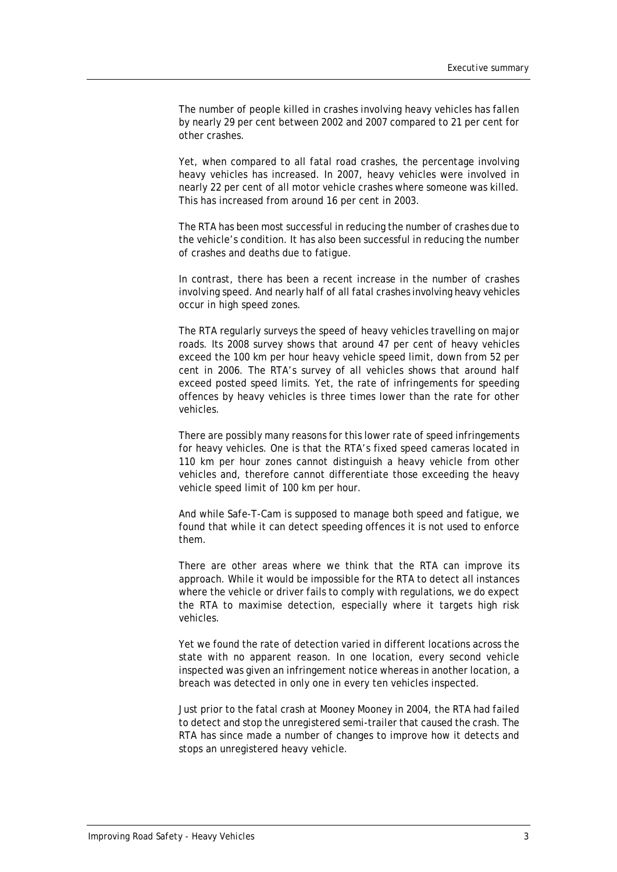The number of people killed in crashes involving heavy vehicles has fallen by nearly 29 per cent between 2002 and 2007 compared to 21 per cent for other crashes.

Yet, when compared to all fatal road crashes, the percentage involving heavy vehicles has increased. In 2007, heavy vehicles were involved in nearly 22 per cent of all motor vehicle crashes where someone was killed. This has increased from around 16 per cent in 2003.

The RTA has been most successful in reducing the number of crashes due to the vehicle's condition. It has also been successful in reducing the number of crashes and deaths due to fatigue.

In contrast, there has been a recent increase in the number of crashes involving speed. And nearly half of all fatal crashes involving heavy vehicles occur in high speed zones.

The RTA regularly surveys the speed of heavy vehicles travelling on major roads. Its 2008 survey shows that around 47 per cent of heavy vehicles exceed the 100 km per hour heavy vehicle speed limit, down from 52 per cent in 2006. The RTA's survey of all vehicles shows that around half exceed posted speed limits. Yet, the rate of infringements for speeding offences by heavy vehicles is three times lower than the rate for other vehicles.

There are possibly many reasons for this lower rate of speed infringements for heavy vehicles. One is that the RTA's fixed speed cameras located in 110 km per hour zones cannot distinguish a heavy vehicle from other vehicles and, therefore cannot differentiate those exceeding the heavy vehicle speed limit of 100 km per hour.

And while Safe-T-Cam is supposed to manage both speed and fatigue, we found that while it can detect speeding offences it is not used to enforce them.

There are other areas where we think that the RTA can improve its approach. While it would be impossible for the RTA to detect all instances where the vehicle or driver fails to comply with regulations, we do expect the RTA to maximise detection, especially where it targets high risk vehicles.

Yet we found the rate of detection varied in different locations across the state with no apparent reason. In one location, every second vehicle inspected was given an infringement notice whereas in another location, a breach was detected in only one in every ten vehicles inspected.

Just prior to the fatal crash at Mooney Mooney in 2004, the RTA had failed to detect and stop the unregistered semi-trailer that caused the crash. The RTA has since made a number of changes to improve how it detects and stops an unregistered heavy vehicle.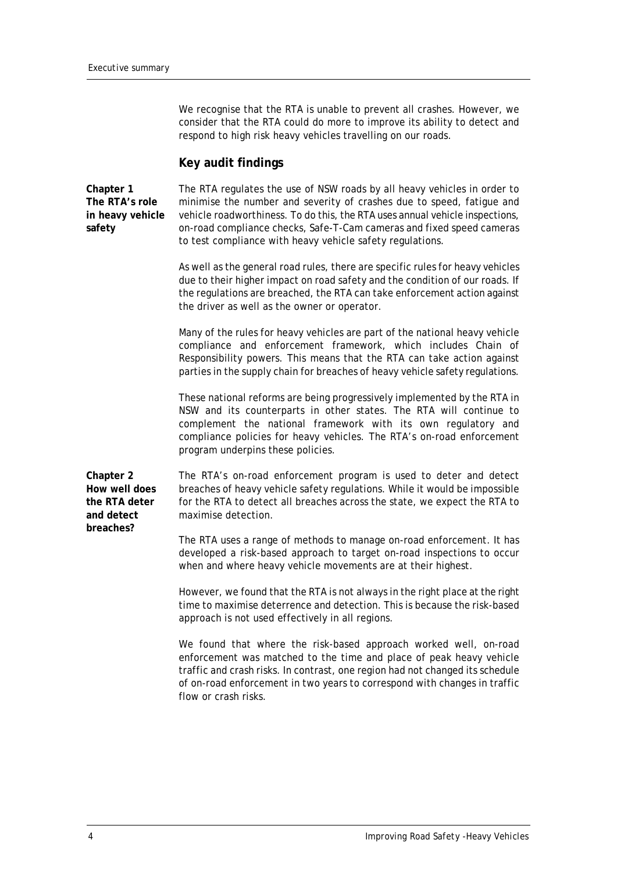We recognise that the RTA is unable to prevent all crashes. However, we consider that the RTA could do more to improve its ability to detect and respond to high risk heavy vehicles travelling on our roads.

### **Key audit findings**

**Chapter 1 The RTA's role in heavy vehicle safety**

The RTA regulates the use of NSW roads by all heavy vehicles in order to minimise the number and severity of crashes due to speed, fatigue and vehicle roadworthiness. To do this, the RTA uses annual vehicle inspections, on-road compliance checks, Safe-T-Cam cameras and fixed speed cameras to test compliance with heavy vehicle safety regulations.

As well as the general road rules, there are specific rules for heavy vehicles due to their higher impact on road safety and the condition of our roads. If the regulations are breached, the RTA can take enforcement action against the driver as well as the owner or operator.

Many of the rules for heavy vehicles are part of the national heavy vehicle compliance and enforcement framework, which includes Chain of Responsibility powers. This means that the RTA can take action against parties in the supply chain for breaches of heavy vehicle safety regulations.

These national reforms are being progressively implemented by the RTA in NSW and its counterparts in other states. The RTA will continue to complement the national framework with its own regulatory and compliance policies for heavy vehicles. The RTA's on-road enforcement program underpins these policies.

**Chapter 2 How well does the RTA deter and detect breaches?**

The RTA's on-road enforcement program is used to deter and detect breaches of heavy vehicle safety regulations. While it would be impossible for the RTA to detect all breaches across the state, we expect the RTA to maximise detection.

The RTA uses a range of methods to manage on-road enforcement. It has developed a risk-based approach to target on-road inspections to occur when and where heavy vehicle movements are at their highest.

However, we found that the RTA is not always in the right place at the right time to maximise deterrence and detection. This is because the risk-based approach is not used effectively in all regions.

We found that where the risk-based approach worked well, on-road enforcement was matched to the time and place of peak heavy vehicle traffic and crash risks. In contrast, one region had not changed its schedule of on-road enforcement in two years to correspond with changes in traffic flow or crash risks.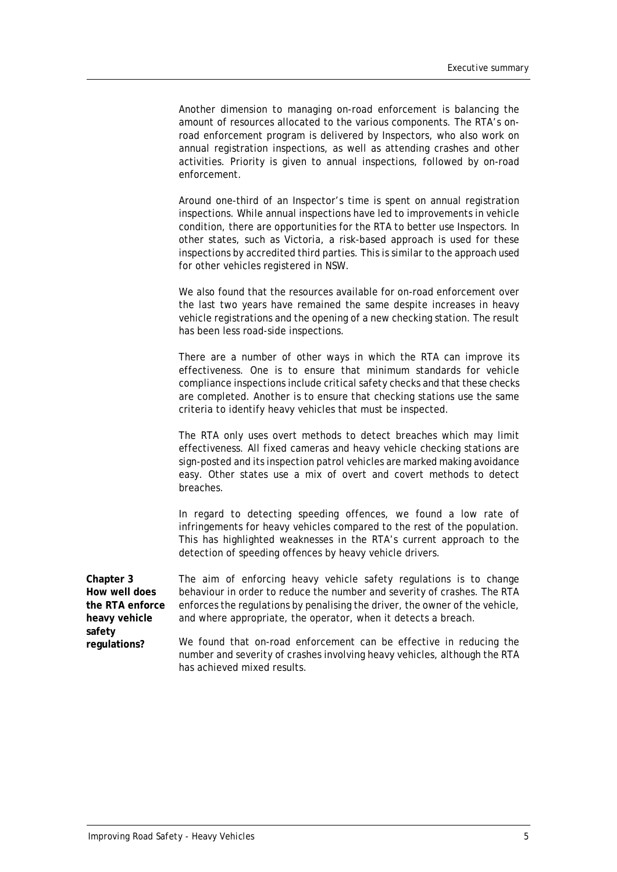Another dimension to managing on-road enforcement is balancing the amount of resources allocated to the various components. The RTA's onroad enforcement program is delivered by Inspectors, who also work on annual registration inspections, as well as attending crashes and other activities. Priority is given to annual inspections, followed by on-road enforcement.

Around one-third of an Inspector's time is spent on annual registration inspections. While annual inspections have led to improvements in vehicle condition, there are opportunities for the RTA to better use Inspectors. In other states, such as Victoria, a risk-based approach is used for these inspections by accredited third parties. This is similar to the approach used for other vehicles registered in NSW.

We also found that the resources available for on-road enforcement over the last two years have remained the same despite increases in heavy vehicle registrations and the opening of a new checking station. The result has been less road-side inspections.

There are a number of other ways in which the RTA can improve its effectiveness. One is to ensure that minimum standards for vehicle compliance inspections include critical safety checks and that these checks are completed. Another is to ensure that checking stations use the same criteria to identify heavy vehicles that must be inspected.

The RTA only uses overt methods to detect breaches which may limit effectiveness. All fixed cameras and heavy vehicle checking stations are sign-posted and its inspection patrol vehicles are marked making avoidance easy. Other states use a mix of overt and covert methods to detect breaches.

In regard to detecting speeding offences, we found a low rate of infringements for heavy vehicles compared to the rest of the population. This has highlighted weaknesses in the RTA's current approach to the detection of speeding offences by heavy vehicle drivers.

| Chapter 3       | The aim of enforcing heavy vehicle safety regulations is to change           |
|-----------------|------------------------------------------------------------------------------|
| How well does   | behaviour in order to reduce the number and severity of crashes. The RTA     |
| the RTA enforce | enforces the regulations by penalising the driver, the owner of the vehicle, |
| heavy vehicle   | and where appropriate, the operator, when it detects a breach.               |
| safety          |                                                                              |
| regulations?    | We found that on-road enforcement can be effective in reducing the           |

number and severity of crashes involving heavy vehicles, although the RTA has achieved mixed results.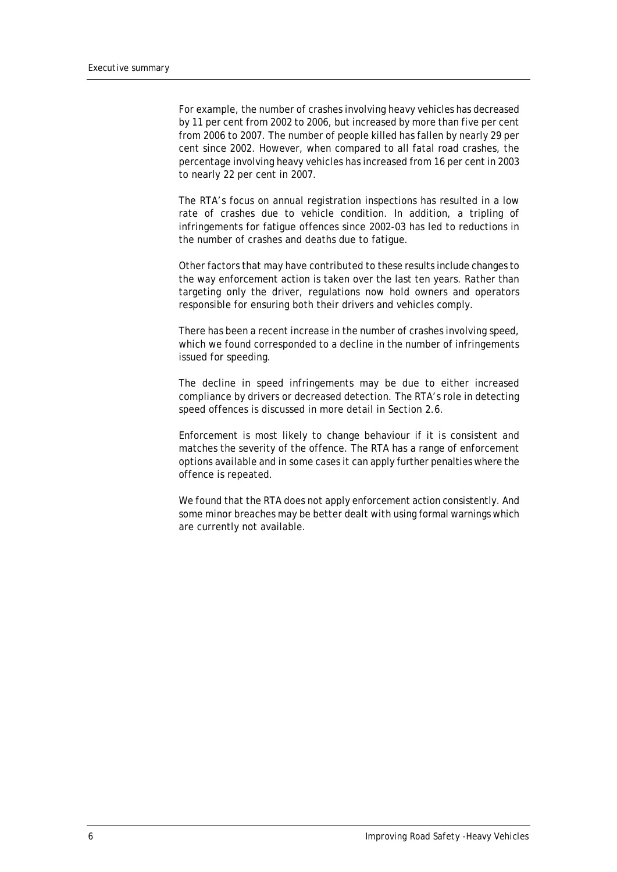For example, the number of crashes involving heavy vehicles has decreased by 11 per cent from 2002 to 2006, but increased by more than five per cent from 2006 to 2007. The number of people killed has fallen by nearly 29 per cent since 2002. However, when compared to all fatal road crashes, the percentage involving heavy vehicles has increased from 16 per cent in 2003 to nearly 22 per cent in 2007.

The RTA's focus on annual registration inspections has resulted in a low rate of crashes due to vehicle condition. In addition, a tripling of infringements for fatigue offences since 2002-03 has led to reductions in the number of crashes and deaths due to fatigue.

Other factors that may have contributed to these results include changes to the way enforcement action is taken over the last ten years. Rather than targeting only the driver, regulations now hold owners and operators responsible for ensuring both their drivers and vehicles comply.

There has been a recent increase in the number of crashes involving speed, which we found corresponded to a decline in the number of infringements issued for speeding.

The decline in speed infringements may be due to either increased compliance by drivers or decreased detection. The RTA's role in detecting speed offences is discussed in more detail in Section 2.6.

Enforcement is most likely to change behaviour if it is consistent and matches the severity of the offence. The RTA has a range of enforcement options available and in some cases it can apply further penalties where the offence is repeated.

We found that the RTA does not apply enforcement action consistently. And some minor breaches may be better dealt with using formal warnings which are currently not available.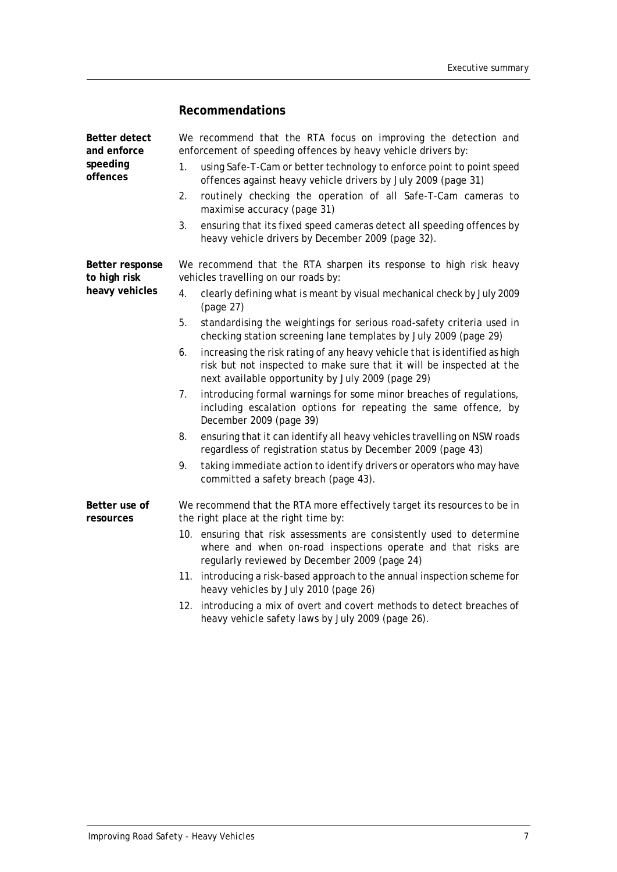## **Recommendations**

| Better detect<br>and enforce    | We recommend that the RTA focus on improving the detection and<br>enforcement of speeding offences by heavy vehicle drivers by:                                                                               |  |  |
|---------------------------------|---------------------------------------------------------------------------------------------------------------------------------------------------------------------------------------------------------------|--|--|
| speeding<br>offences            | using Safe-T-Cam or better technology to enforce point to point speed<br>1.<br>offences against heavy vehicle drivers by July 2009 (page 31)                                                                  |  |  |
|                                 | routinely checking the operation of all Safe-T-Cam cameras to<br>2.<br>maximise accuracy (page 31)                                                                                                            |  |  |
|                                 | 3.<br>ensuring that its fixed speed cameras detect all speeding offences by<br>heavy vehicle drivers by December 2009 (page 32).                                                                              |  |  |
| Better response<br>to high risk | We recommend that the RTA sharpen its response to high risk heavy<br>vehicles travelling on our roads by:                                                                                                     |  |  |
| heavy vehicles                  | clearly defining what is meant by visual mechanical check by July 2009<br>4.<br>(page 27)                                                                                                                     |  |  |
|                                 | 5.<br>standardising the weightings for serious road-safety criteria used in<br>checking station screening lane templates by July 2009 (page 29)                                                               |  |  |
|                                 | increasing the risk rating of any heavy vehicle that is identified as high<br>6.<br>risk but not inspected to make sure that it will be inspected at the<br>next available opportunity by July 2009 (page 29) |  |  |
|                                 | introducing formal warnings for some minor breaches of regulations,<br>7.<br>including escalation options for repeating the same offence, by<br>December 2009 (page 39)                                       |  |  |
|                                 | ensuring that it can identify all heavy vehicles travelling on NSW roads<br>8.<br>regardless of registration status by December 2009 (page 43)                                                                |  |  |
|                                 | taking immediate action to identify drivers or operators who may have<br>9.<br>committed a safety breach (page 43).                                                                                           |  |  |
| Better use of<br>resources      | We recommend that the RTA more effectively target its resources to be in<br>the right place at the right time by:                                                                                             |  |  |
|                                 | 10. ensuring that risk assessments are consistently used to determine<br>where and when on-road inspections operate and that risks are<br>regularly reviewed by December 2009 (page 24)                       |  |  |
|                                 | 11. introducing a risk-based approach to the annual inspection scheme for<br>heavy vehicles by July 2010 (page 26)                                                                                            |  |  |

12. introducing a mix of overt and covert methods to detect breaches of heavy vehicle safety laws by July 2009 (page 26).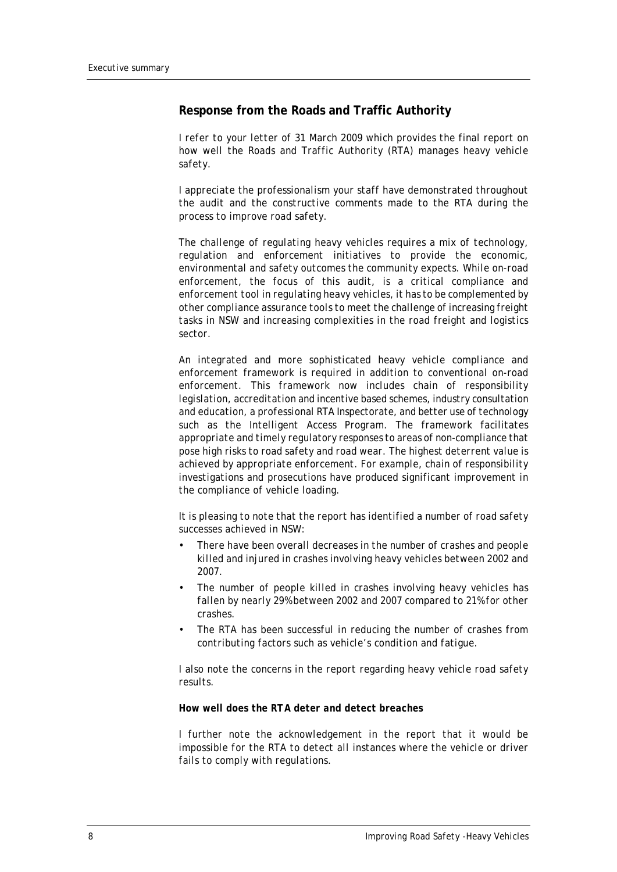#### **Response from the Roads and Traffic Authority**

*I refer to your letter of 31 March 2009 which provides the final report on how well the Roads and Traffic Authority (RTA) manages heavy vehicle safety.* 

*I appreciate the professionalism your staff have demonstrated throughout the audit and the constructive comments made to the RTA during the process to improve road safety.*

*The challenge of regulating heavy vehicles requires a mix of technology, regulation and enforcement initiatives to provide the economic, environmental and safety outcomes the community expects. While on-road enforcement, the focus of this audit, is a critical compliance and enforcement tool in regulating heavy vehicles, it has to be complemented by other compliance assurance tools to meet the challenge of increasing freight tasks in NSW and increasing complexities in the road freight and logistics sector.*

*An integrated and more sophisticated heavy vehicle compliance and enforcement framework is required in addition to conventional on-road enforcement. This framework now includes chain of responsibility legislation, accreditation and incentive based schemes, industry consultation and education, a professional RTA Inspectorate, and better use of technology such as the Intelligent Access Program. The framework facilitates appropriate and timely regulatory responses to areas of non-compliance that pose high risks to road safety and road wear. The highest deterrent value is achieved by appropriate enforcement. For example, chain of responsibility investigations and prosecutions have produced significant improvement in the compliance of vehicle loading.*

*It is pleasing to note that the report has identified a number of road safety successes achieved in NSW:*

- *There have been overall decreases in the number of crashes and people killed and injured in crashes involving heavy vehicles between 2002 and 2007.*
- *The number of people killed in crashes involving heavy vehicles has fallen by nearly 29% between 2002 and 2007 compared to 21% for other crashes.*
- *The RTA has been successful in reducing the number of crashes from contributing factors such as vehicle's condition and fatigue.*

*I also note the concerns in the report regarding heavy vehicle road safety results.*

#### *How well does the RTA deter and detect breaches*

*I further note the acknowledgement in the report that it would be impossible for the RTA to detect all instances where the vehicle or driver fails to comply with regulations.*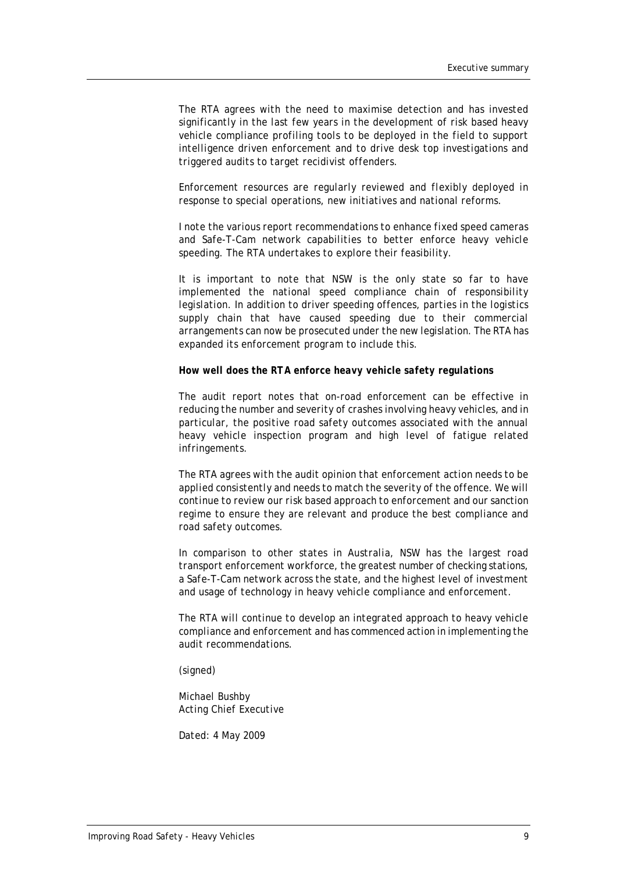*The RTA agrees with the need to maximise detection and has invested significantly in the last few years in the development of risk based heavy vehicle compliance profiling tools to be deployed in the field to support intelligence driven enforcement and to drive desk top investigations and triggered audits to target recidivist offenders.* 

*Enforcement resources are regularly reviewed and flexibly deployed in response to special operations, new initiatives and national reforms.*

*I note the various report recommendations to enhance fixed speed cameras and Safe-T-Cam network capabilities to better enforce heavy vehicle speeding. The RTA undertakes to explore their feasibility.* 

*It is important to note that NSW is the only state so far to have implemented the national speed compliance chain of responsibility legislation. In addition to driver speeding offences, parties in the logistics supply chain that have caused speeding due to their commercial arrangements can now be prosecuted under the new legislation. The RTA has expanded its enforcement program to include this.*

*How well does the RTA enforce heavy vehicle safety regulations*

*The audit report notes that on-road enforcement can be effective in reducing the number and severity of crashes involving heavy vehicles, and in particular, the positive road safety outcomes associated with the annual heavy vehicle inspection program and high level of fatigue related infringements.* 

*The RTA agrees with the audit opinion that enforcement action needs to be applied consistently and needs to match the severity of the offence. We will continue to review our risk based approach to enforcement and our sanction regime to ensure they are relevant and produce the best compliance and road safety outcomes.* 

*In comparison to other states in Australia, NSW has the largest road transport enforcement workforce, the greatest number of checking stations, a Safe-T-Cam network across the state, and the highest level of investment and usage of technology in heavy vehicle compliance and enforcement.* 

*The RTA will continue to develop an integrated approach to heavy vehicle compliance and enforcement and has commenced action in implementing the audit recommendations.*

*(signed)*

*Michael Bushby Acting Chief Executive*

*Dated: 4 May 2009*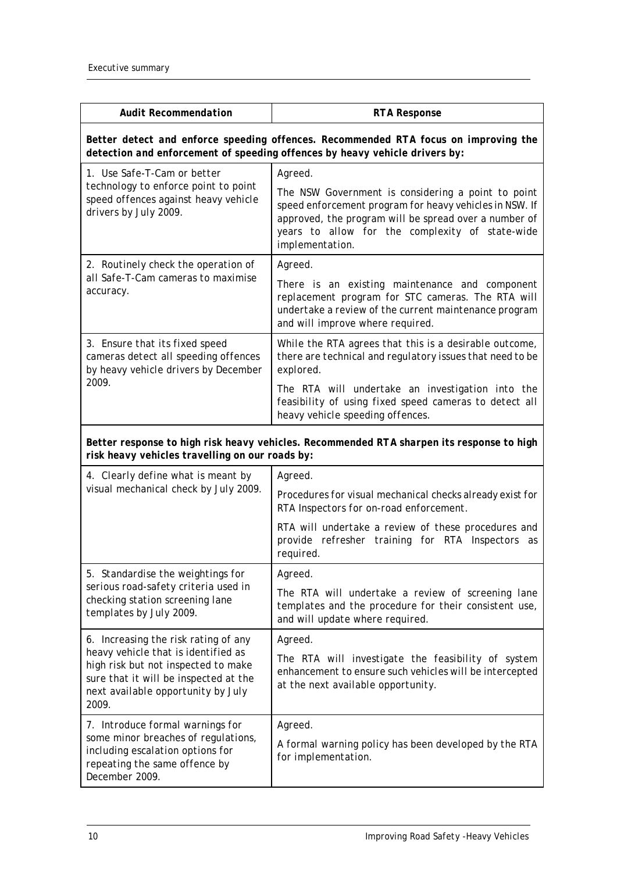| <b>Audit Recommendation</b>                                                                                                                                        | <b>RTA Response</b>                                                                                                                                                                                                                          |  |  |
|--------------------------------------------------------------------------------------------------------------------------------------------------------------------|----------------------------------------------------------------------------------------------------------------------------------------------------------------------------------------------------------------------------------------------|--|--|
| Better detect and enforce speeding offences. Recommended RTA focus on improving the<br>detection and enforcement of speeding offences by heavy vehicle drivers by: |                                                                                                                                                                                                                                              |  |  |
| 1. Use Safe-T-Cam or better                                                                                                                                        | Agreed.                                                                                                                                                                                                                                      |  |  |
| technology to enforce point to point<br>speed offences against heavy vehicle<br>drivers by July 2009.                                                              | The NSW Government is considering a point to point<br>speed enforcement program for heavy vehicles in NSW. If<br>approved, the program will be spread over a number of<br>years to allow for the complexity of state-wide<br>implementation. |  |  |
| 2. Routinely check the operation of                                                                                                                                | Agreed.                                                                                                                                                                                                                                      |  |  |
| all Safe-T-Cam cameras to maximise<br>accuracy.                                                                                                                    | There is an existing maintenance and component<br>replacement program for STC cameras. The RTA will<br>undertake a review of the current maintenance program<br>and will improve where required.                                             |  |  |
| 3. Ensure that its fixed speed<br>cameras detect all speeding offences<br>by heavy vehicle drivers by December                                                     | While the RTA agrees that this is a desirable outcome,<br>there are technical and regulatory issues that need to be<br>explored.                                                                                                             |  |  |
| 2009.                                                                                                                                                              | The RTA will undertake an investigation into the<br>feasibility of using fixed speed cameras to detect all<br>heavy vehicle speeding offences.                                                                                               |  |  |
| Better response to high risk heavy vehicles. Recommended RTA sharpen its response to high<br>risk heavy vehicles travelling on our roads by:                       |                                                                                                                                                                                                                                              |  |  |
| 4. Clearly define what is meant by                                                                                                                                 | Agreed.                                                                                                                                                                                                                                      |  |  |
| visual mechanical check by July 2009.                                                                                                                              | Procedures for visual mechanical checks already exist for<br>RTA Inspectors for on-road enforcement.                                                                                                                                         |  |  |
|                                                                                                                                                                    | RTA will undertake a review of these procedures and<br>provide refresher training for RTA Inspectors as<br>required.                                                                                                                         |  |  |
| 5. Standardise the weightings for                                                                                                                                  | Agreed.                                                                                                                                                                                                                                      |  |  |
| serious road-safety criteria used in<br>checking station screening lane<br>templates by July 2009.                                                                 | The RTA will undertake a review of screening lane<br>templates and the procedure for their consistent use,<br>and will update where required.                                                                                                |  |  |
| 6. Increasing the risk rating of any                                                                                                                               | Agreed.                                                                                                                                                                                                                                      |  |  |
| heavy vehicle that is identified as<br>high risk but not inspected to make<br>sure that it will be inspected at the<br>next available opportunity by July<br>2009. | The RTA will investigate the feasibility of system<br>enhancement to ensure such vehicles will be intercepted<br>at the next available opportunity.                                                                                          |  |  |
| 7. Introduce formal warnings for                                                                                                                                   | Agreed.                                                                                                                                                                                                                                      |  |  |
| some minor breaches of regulations,<br>including escalation options for<br>repeating the same offence by<br>December 2009.                                         | A formal warning policy has been developed by the RTA<br>for implementation.                                                                                                                                                                 |  |  |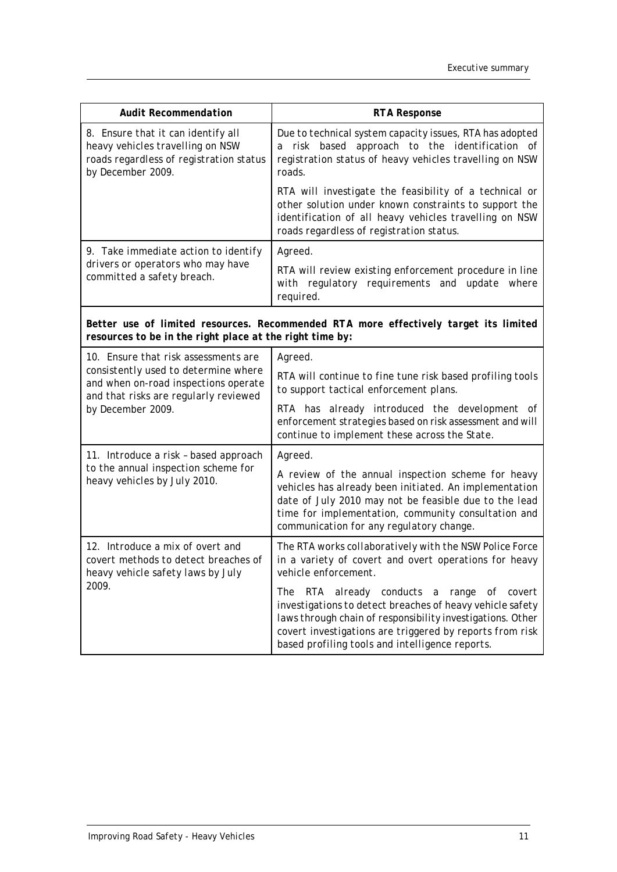| <b>Audit Recommendation</b>                                                                                                            | <b>RTA Response</b>                                                                                                                                                                                                                                                                     |
|----------------------------------------------------------------------------------------------------------------------------------------|-----------------------------------------------------------------------------------------------------------------------------------------------------------------------------------------------------------------------------------------------------------------------------------------|
| 8. Ensure that it can identify all<br>heavy vehicles travelling on NSW<br>roads regardless of registration status<br>by December 2009. | Due to technical system capacity issues, RTA has adopted<br>risk based approach to the identification of<br>а<br>registration status of heavy vehicles travelling on NSW<br>roads.                                                                                                      |
|                                                                                                                                        | RTA will investigate the feasibility of a technical or<br>other solution under known constraints to support the<br>identification of all heavy vehicles travelling on NSW<br>roads regardless of registration status.                                                                   |
| 9. Take immediate action to identify                                                                                                   | Agreed.                                                                                                                                                                                                                                                                                 |
| drivers or operators who may have<br>committed a safety breach.                                                                        | RTA will review existing enforcement procedure in line<br>with regulatory requirements and update where<br>required.                                                                                                                                                                    |
| resources to be in the right place at the right time by:                                                                               | Better use of limited resources. Recommended RTA more effectively target its limited                                                                                                                                                                                                    |
| 10. Ensure that risk assessments are                                                                                                   | Agreed.                                                                                                                                                                                                                                                                                 |
| consistently used to determine where<br>and when on-road inspections operate<br>and that risks are regularly reviewed                  | RTA will continue to fine tune risk based profiling tools<br>to support tactical enforcement plans.                                                                                                                                                                                     |
| by December 2009.                                                                                                                      | RTA has already introduced the development of<br>enforcement strategies based on risk assessment and will<br>continue to implement these across the State.                                                                                                                              |
| 11. Introduce a risk - based approach                                                                                                  | Agreed.                                                                                                                                                                                                                                                                                 |
| to the annual inspection scheme for<br>heavy vehicles by July 2010.                                                                    | A review of the annual inspection scheme for heavy<br>vehicles has already been initiated. An implementation<br>date of July 2010 may not be feasible due to the lead<br>time for implementation, community consultation and<br>communication for any regulatory change.                |
| 12. Introduce a mix of overt and<br>covert methods to detect breaches of<br>heavy vehicle safety laws by July                          | The RTA works collaboratively with the NSW Police Force<br>in a variety of covert and overt operations for heavy<br>vehicle enforcement.                                                                                                                                                |
| 2009.                                                                                                                                  | RTA already conducts a range of covert<br>The<br>investigations to detect breaches of heavy vehicle safety<br>laws through chain of responsibility investigations. Other<br>covert investigations are triggered by reports from risk<br>based profiling tools and intelligence reports. |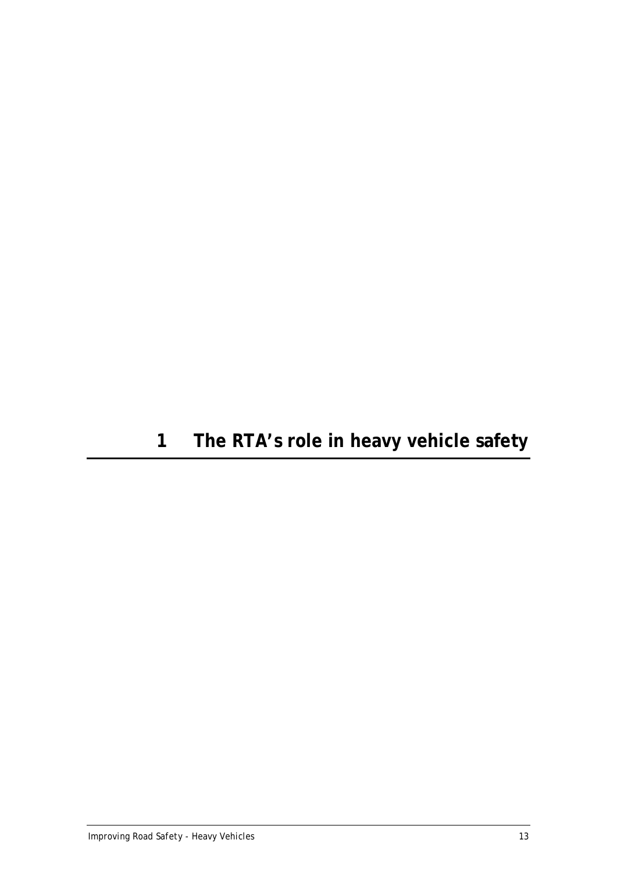# <span id="page-18-0"></span>**1 The RTA's role in heavy vehicle safety**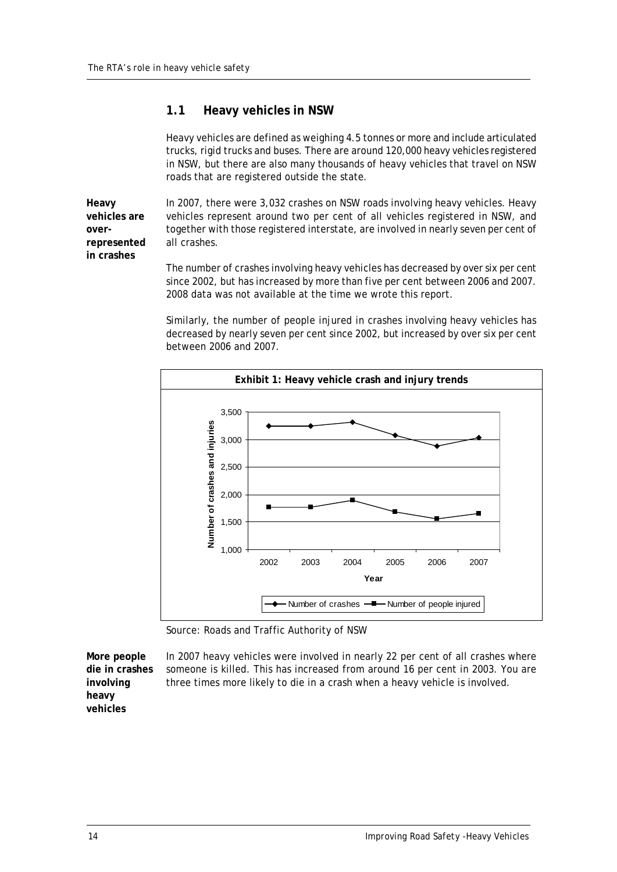## <span id="page-19-0"></span>**1.1 Heavy vehicles in NSW**

Heavy vehicles are defined as weighing 4.5 tonnes or more and include articulated trucks, rigid trucks and buses. There are around 120,000 heavy vehicles registered in NSW, but there are also many thousands of heavy vehicles that travel on NSW roads that are registered outside the state.

**Heavy vehicles are overrepresented in crashes**

In 2007, there were 3,032 crashes on NSW roads involving heavy vehicles. Heavy vehicles represent around two per cent of all vehicles registered in NSW, and together with those registered interstate, are involved in nearly seven per cent of all crashes.

The number of crashes involving heavy vehicles has decreased by over six per cent since 2002, but has increased by more than five per cent between 2006 and 2007. 2008 data was not available at the time we wrote this report.

Similarly, the number of people injured in crashes involving heavy vehicles has decreased by nearly seven per cent since 2002, but increased by over six per cent between 2006 and 2007.



Source: Roads and Traffic Authority of NSW

**More people die in crashes involving heavy vehicles**

In 2007 heavy vehicles were involved in nearly 22 per cent of all crashes where someone is killed. This has increased from around 16 per cent in 2003. You are three times more likely to die in a crash when a heavy vehicle is involved.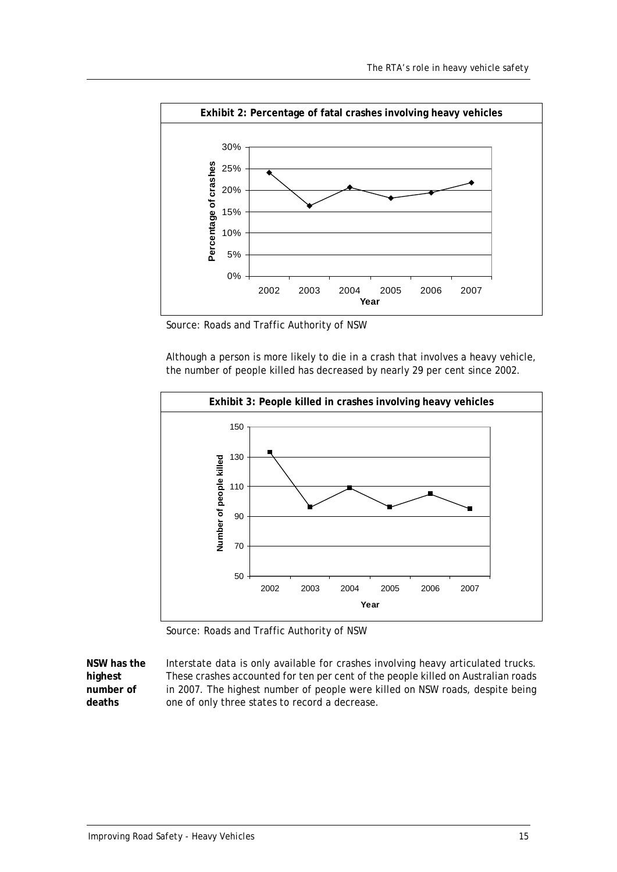

Source: Roads and Traffic Authority of NSW

Although a person is more likely to die in a crash that involves a heavy vehicle, the number of people killed has decreased by nearly 29 per cent since 2002.



Source: Roads and Traffic Authority of NSW

**NSW has the**  Interstate data is only available for crashes involving heavy articulated trucks. These crashes accounted for ten per cent of the people killed on Australian roads in 2007. The highest number of people were killed on NSW roads, despite being one of only three states to record a decrease.

**highest number of deaths**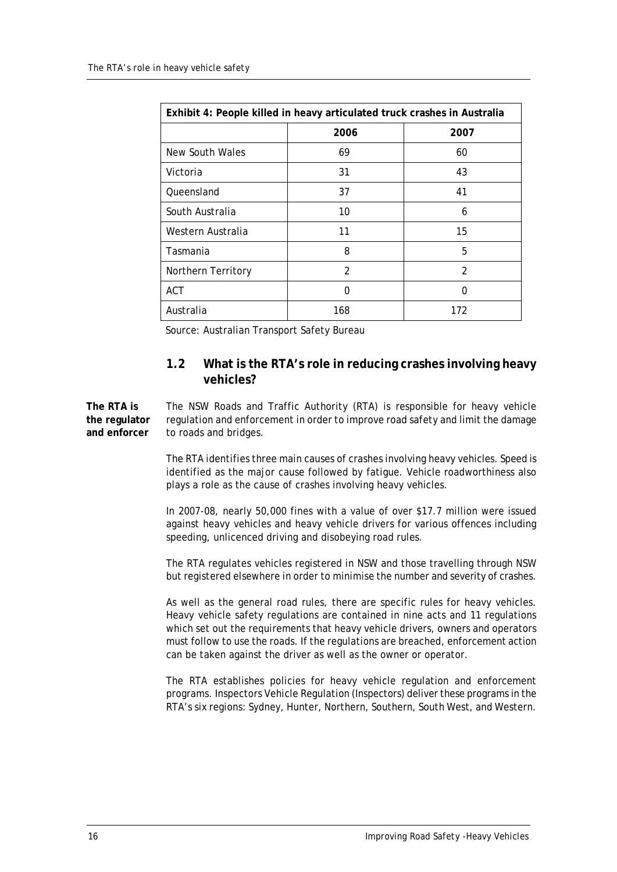| Exhibit 4: People killed in heavy articulated truck crashes in Australia |                |                |  |
|--------------------------------------------------------------------------|----------------|----------------|--|
|                                                                          | 2006           | 2007           |  |
| New South Wales                                                          | 69             | 60             |  |
| Victoria                                                                 | 31             | 43             |  |
| Queensland                                                               | 37             | 41             |  |
| South Australia                                                          | 10             | 6              |  |
| Western Australia                                                        | 11             | 15             |  |
| Tasmania                                                                 | 8              | 5              |  |
| Northern Territory                                                       | $\mathfrak{D}$ | $\mathfrak{D}$ |  |
| <b>ACT</b>                                                               | 0              | 0              |  |
| Australia                                                                | 168            | 172            |  |

Source: Australian Transport Safety Bureau

## <span id="page-21-0"></span>**1.2 What is the RTA's role in reducing crashes involving heavy vehicles?**

**The RTA is the regulator and enforcer** The NSW Roads and Traffic Authority (RTA) is responsible for heavy vehicle regulation and enforcement in order to improve road safety and limit the damage to roads and bridges.

> The RTA identifies three main causes of crashes involving heavy vehicles. Speed is identified as the major cause followed by fatigue. Vehicle roadworthiness also plays a role as the cause of crashes involving heavy vehicles.

> In 2007-08, nearly 50,000 fines with a value of over \$17.7 million were issued against heavy vehicles and heavy vehicle drivers for various offences including speeding, unlicenced driving and disobeying road rules.

> The RTA regulates vehicles registered in NSW and those travelling through NSW but registered elsewhere in order to minimise the number and severity of crashes.

> As well as the general road rules, there are specific rules for heavy vehicles. Heavy vehicle safety regulations are contained in nine acts and 11 regulations which set out the requirements that heavy vehicle drivers, owners and operators must follow to use the roads. If the regulations are breached, enforcement action can be taken against the driver as well as the owner or operator.

> The RTA establishes policies for heavy vehicle regulation and enforcement programs. Inspectors Vehicle Regulation (Inspectors) deliver these programs in the RTA's six regions: Sydney, Hunter, Northern, Southern, South West, and Western.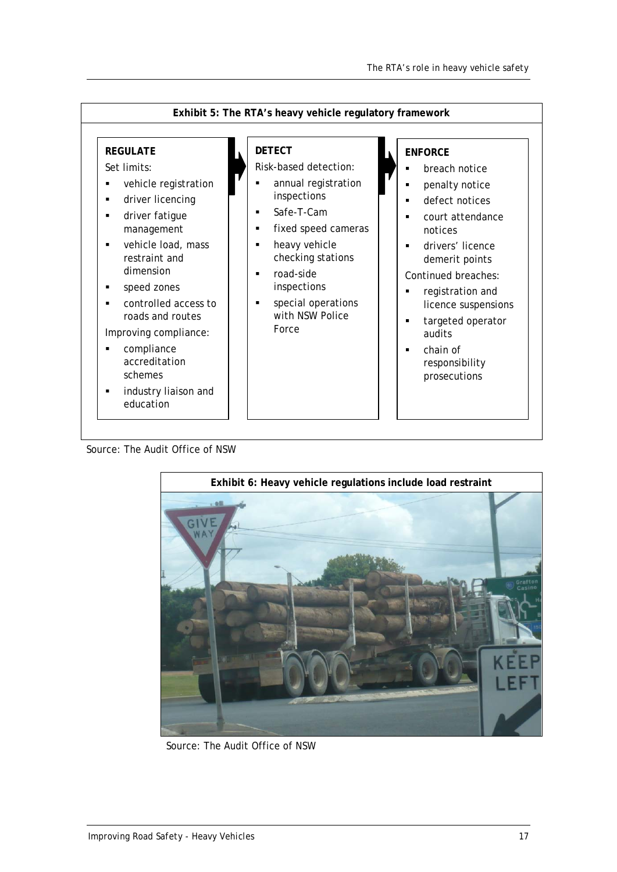

Source: The Audit Office of NSW



Source: The Audit Office of NSW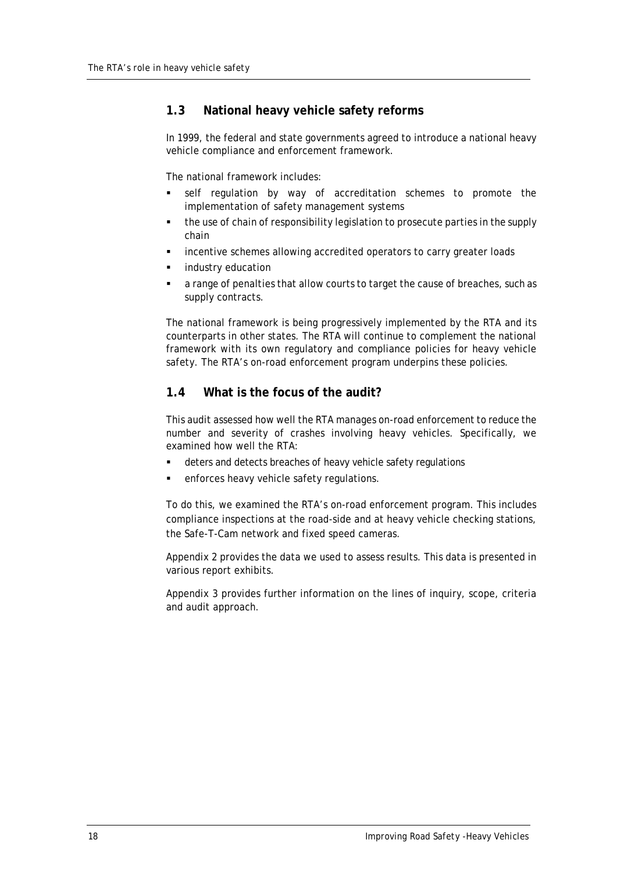## <span id="page-23-0"></span>**1.3 National heavy vehicle safety reforms**

In 1999, the federal and state governments agreed to introduce a national heavy vehicle compliance and enforcement framework.

The national framework includes:

- self regulation by way of accreditation schemes to promote the implementation of safety management systems
- the use of chain of responsibility legislation to prosecute parties in the supply chain
- incentive schemes allowing accredited operators to carry greater loads
- industry education
- a range of penalties that allow courts to target the cause of breaches, such as supply contracts.

The national framework is being progressively implemented by the RTA and its counterparts in other states. The RTA will continue to complement the national framework with its own regulatory and compliance policies for heavy vehicle safety. The RTA's on-road enforcement program underpins these policies.

### <span id="page-23-1"></span>**1.4 What is the focus of the audit?**

This audit assessed how well the RTA manages on-road enforcement to reduce the number and severity of crashes involving heavy vehicles. Specifically, we examined how well the RTA:

- deters and detects breaches of heavy vehicle safety regulations
- enforces heavy vehicle safety regulations.

To do this, we examined the RTA's on-road enforcement program. This includes compliance inspections at the road-side and at heavy vehicle checking stations, the Safe-T-Cam network and fixed speed cameras.

Appendix 2 provides the data we used to assess results. This data is presented in various report exhibits.

Appendix 3 provides further information on the lines of inquiry, scope, criteria and audit approach.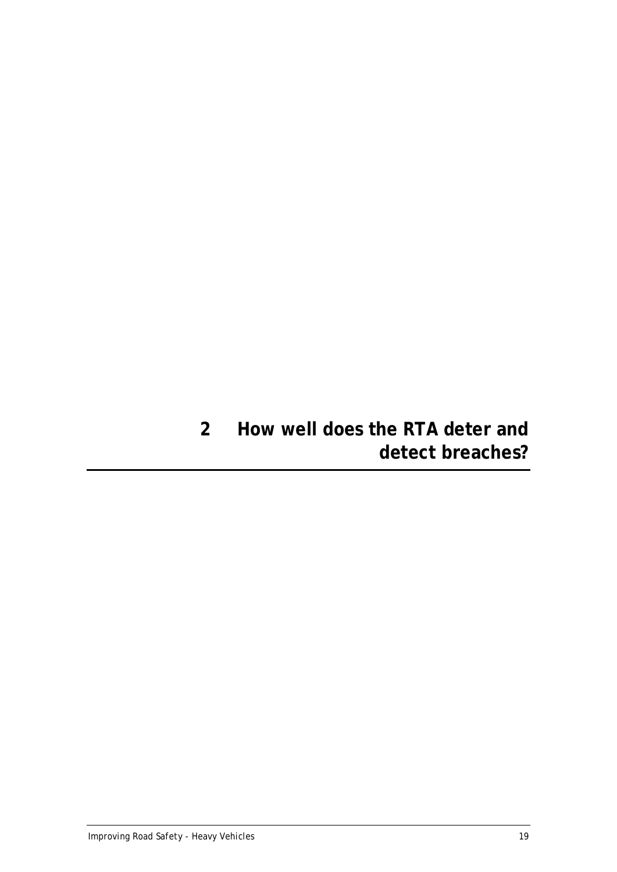# <span id="page-24-0"></span>**2 How well does the RTA deter and detect breaches?**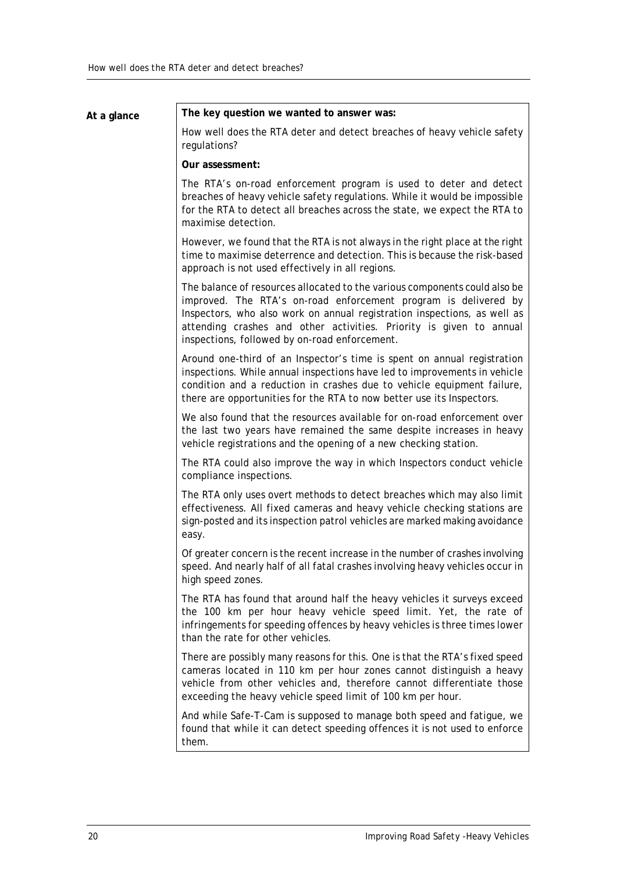# **At a glance The key question we wanted to answer was:**  How well does the RTA deter and detect breaches of heavy vehicle safety regulations? **Our assessment:**

The RTA's on-road enforcement program is used to deter and detect breaches of heavy vehicle safety regulations. While it would be impossible for the RTA to detect all breaches across the state, we expect the RTA to maximise detection.

However, we found that the RTA is not always in the right place at the right time to maximise deterrence and detection. This is because the risk-based approach is not used effectively in all regions.

The balance of resources allocated to the various components could also be improved. The RTA's on-road enforcement program is delivered by Inspectors, who also work on annual registration inspections, as well as attending crashes and other activities. Priority is given to annual inspections, followed by on-road enforcement.

Around one-third of an Inspector's time is spent on annual registration inspections. While annual inspections have led to improvements in vehicle condition and a reduction in crashes due to vehicle equipment failure, there are opportunities for the RTA to now better use its Inspectors.

We also found that the resources available for on-road enforcement over the last two years have remained the same despite increases in heavy vehicle registrations and the opening of a new checking station.

The RTA could also improve the way in which Inspectors conduct vehicle compliance inspections.

The RTA only uses overt methods to detect breaches which may also limit effectiveness. All fixed cameras and heavy vehicle checking stations are sign-posted and its inspection patrol vehicles are marked making avoidance easy.

Of greater concern is the recent increase in the number of crashes involving speed. And nearly half of all fatal crashes involving heavy vehicles occur in high speed zones.

The RTA has found that around half the heavy vehicles it surveys exceed the 100 km per hour heavy vehicle speed limit. Yet, the rate of infringements for speeding offences by heavy vehicles is three times lower than the rate for other vehicles.

There are possibly many reasons for this. One is that the RTA's fixed speed cameras located in 110 km per hour zones cannot distinguish a heavy vehicle from other vehicles and, therefore cannot differentiate those exceeding the heavy vehicle speed limit of 100 km per hour.

And while Safe-T-Cam is supposed to manage both speed and fatigue, we found that while it can detect speeding offences it is not used to enforce them.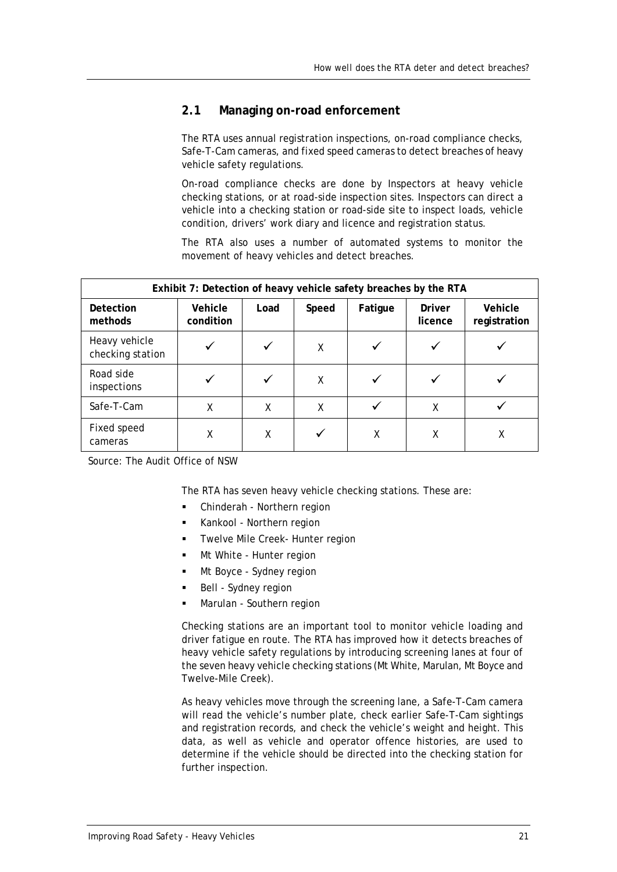### <span id="page-26-0"></span>**2.1 Managing on-road enforcement**

The RTA uses annual registration inspections, on-road compliance checks, Safe-T-Cam cameras, and fixed speed cameras to detect breaches of heavy vehicle safety regulations.

On-road compliance checks are done by Inspectors at heavy vehicle checking stations, or at road-side inspection sites. Inspectors can direct a vehicle into a checking station or road-side site to inspect loads, vehicle condition, drivers' work diary and licence and registration status.

The RTA also uses a number of automated systems to monitor the movement of heavy vehicles and detect breaches.

| Exhibit 7: Detection of heavy vehicle safety breaches by the RTA |                      |              |       |              |                   |                         |
|------------------------------------------------------------------|----------------------|--------------|-------|--------------|-------------------|-------------------------|
| Detection<br>methods                                             | Vehicle<br>condition | Load         | Speed | Fatigue      | Driver<br>licence | Vehicle<br>registration |
| Heavy vehicle<br>checking station                                |                      | $\checkmark$ | X     | $\checkmark$ |                   |                         |
| Road side<br>inspections                                         |                      |              | X     | ✓            |                   |                         |
| Safe-T-Cam                                                       | χ                    | X            | X     | $\checkmark$ | X                 |                         |
| Fixed speed<br>cameras                                           | χ                    | X            |       | χ            | X                 | Χ                       |

Source: The Audit Office of NSW

The RTA has seven heavy vehicle checking stations. These are:

- Chinderah Northern region
- Kankool Northern region
- Twelve Mile Creek- Hunter region
- Mt White Hunter region
- Mt Boyce Sydney region
- Bell Sydney region
- Marulan Southern region

Checking stations are an important tool to monitor vehicle loading and driver fatigue en route. The RTA has improved how it detects breaches of heavy vehicle safety regulations by introducing screening lanes at four of the seven heavy vehicle checking stations (Mt White, Marulan, Mt Boyce and Twelve-Mile Creek).

As heavy vehicles move through the screening lane, a Safe-T-Cam camera will read the vehicle's number plate, check earlier Safe-T-Cam sightings and registration records, and check the vehicle's weight and height. This data, as well as vehicle and operator offence histories, are used to determine if the vehicle should be directed into the checking station for further inspection.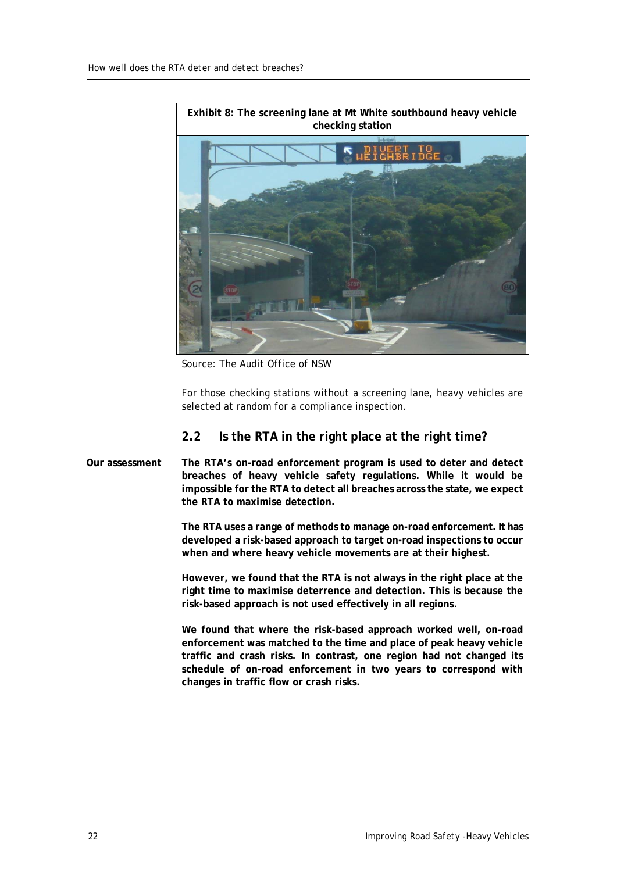

Source: The Audit Office of NSW

For those checking stations without a screening lane, heavy vehicles are selected at random for a compliance inspection.

## <span id="page-27-0"></span>**2.2 Is the RTA in the right place at the right time?**

**Our assessment The RTA's on-road enforcement program is used to deter and detect breaches of heavy vehicle safety regulations. While it would be impossible for the RTA to detect all breaches across the state, we expect the RTA to maximise detection.** 

> **The RTA uses a range of methods to manage on-road enforcement. It has developed a risk-based approach to target on-road inspections to occur when and where heavy vehicle movements are at their highest.**

> **However, we found that the RTA is not always in the right place at the right time to maximise deterrence and detection. This is because the risk-based approach is not used effectively in all regions.**

> **We found that where the risk-based approach worked well, on-road enforcement was matched to the time and place of peak heavy vehicle traffic and crash risks. In contrast, one region had not changed its schedule of on-road enforcement in two years to correspond with changes in traffic flow or crash risks.**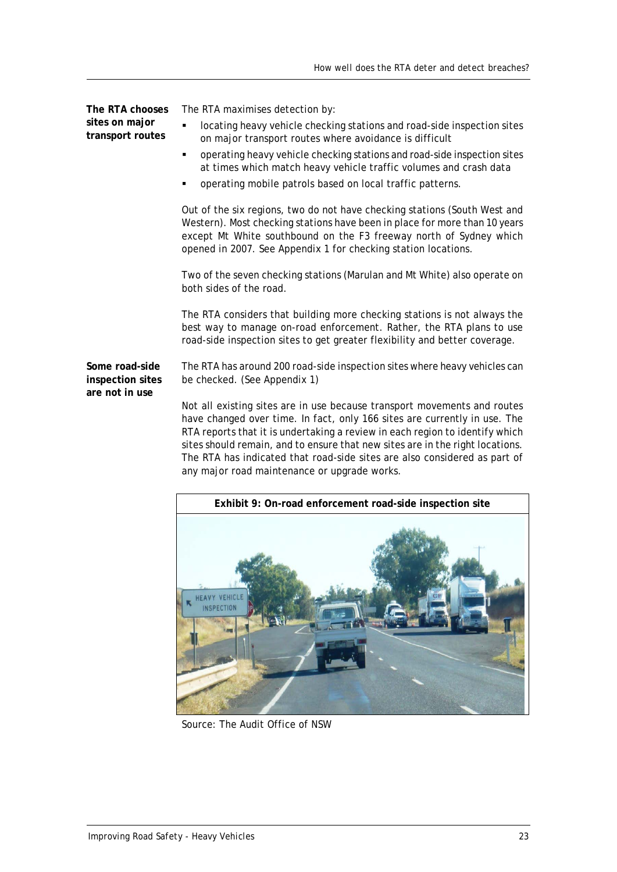| The RTA chooses<br>sites on major<br>transport routes | The RTA maximises detection by:<br>locating heavy vehicle checking stations and road-side inspection sites<br>٠<br>on major transport routes where avoidance is difficult<br>operating heavy vehicle checking stations and road-side inspection sites<br>at times which match heavy vehicle traffic volumes and crash data<br>operating mobile patrols based on local traffic patterns. |
|-------------------------------------------------------|-----------------------------------------------------------------------------------------------------------------------------------------------------------------------------------------------------------------------------------------------------------------------------------------------------------------------------------------------------------------------------------------|
|                                                       | Out of the six regions, two do not have checking stations (South West and<br>Western). Most checking stations have been in place for more than 10 years<br>except Mt White southbound on the F3 freeway north of Sydney which<br>opened in 2007. See Appendix 1 for checking station locations.                                                                                         |
|                                                       | Two of the seven checking stations (Marulan and Mt White) also operate on<br>both sides of the road.                                                                                                                                                                                                                                                                                    |
|                                                       | The RTA considers that building more checking stations is not always the<br>best way to manage on-road enforcement. Rather, the RTA plans to use<br>road-side inspection sites to get greater flexibility and better coverage.                                                                                                                                                          |
| Some road-side<br>inspection sites<br>are not in use  | The RTA has around 200 road-side inspection sites where heavy vehicles can<br>be checked. (See Appendix 1)                                                                                                                                                                                                                                                                              |
|                                                       | Not all existing sites are in use because transport movements and routes<br>have changed over time. In fact, only 166 sites are currently in use. The<br>DTA roports that it is undertaking a review in each region to identify which                                                                                                                                                   |

RTA reports that it is undertaking a review in each region to identify which sites should remain, and to ensure that new sites are in the right locations. The RTA has indicated that road-side sites are also considered as part of any major road maintenance or upgrade works.



Source: The Audit Office of NSW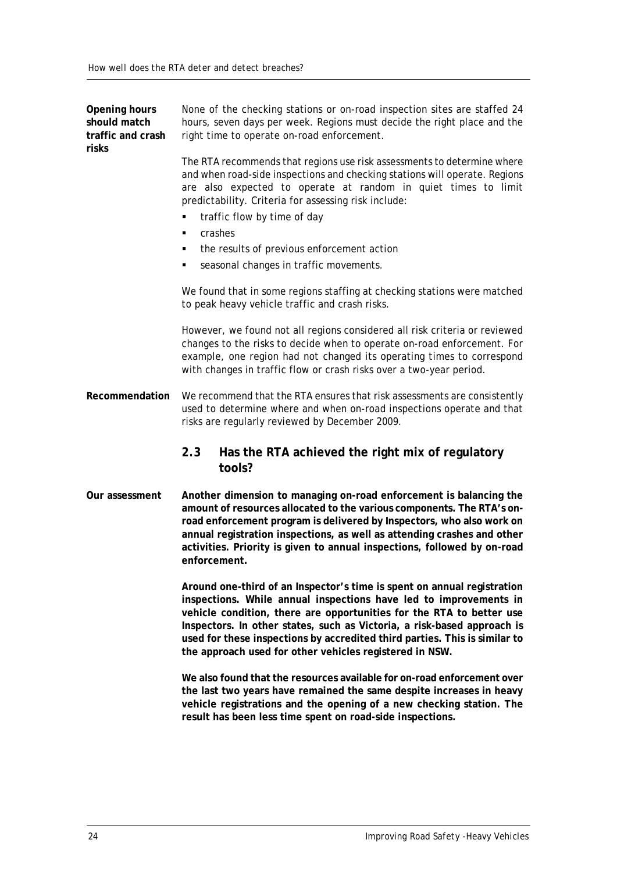**Opening hours should match traffic and crash risks** None of the checking stations or on-road inspection sites are staffed 24 hours, seven days per week. Regions must decide the right place and the right time to operate on-road enforcement. The RTA recommends that regions use risk assessments to determine where and when road-side inspections and checking stations will operate. Regions are also expected to operate at random in quiet times to limit predictability. Criteria for assessing risk include: traffic flow by time of day crashes the results of previous enforcement action seasonal changes in traffic movements. We found that in some regions staffing at checking stations were matched to peak heavy vehicle traffic and crash risks. However, we found not all regions considered all risk criteria or reviewed changes to the risks to decide when to operate on-road enforcement. For example, one region had not changed its operating times to correspond with changes in traffic flow or crash risks over a two-year period. **Recommendation** We recommend that the RTA ensures that risk assessments are consistently used to determine where and when on-road inspections operate and that risks are regularly reviewed by December 2009. **2.3 Has the RTA achieved the right mix of regulatory tools? Our assessment Another dimension to managing on-road enforcement is balancing the amount of resources allocated to the various components. The RTA's onroad enforcement program is delivered by Inspectors, who also work on** 

<span id="page-29-0"></span>**annual registration inspections, as well as attending crashes and other activities. Priority is given to annual inspections, followed by on-road enforcement.**

**Around one-third of an Inspector's time is spent on annual registration inspections. While annual inspections have led to improvements in vehicle condition, there are opportunities for the RTA to better use Inspectors. In other states, such as Victoria, a risk-based approach is used for these inspections by accredited third parties. This is similar to the approach used for other vehicles registered in NSW.**

**We also found that the resources available for on-road enforcement over the last two years have remained the same despite increases in heavy vehicle registrations and the opening of a new checking station. The result has been less time spent on road-side inspections.**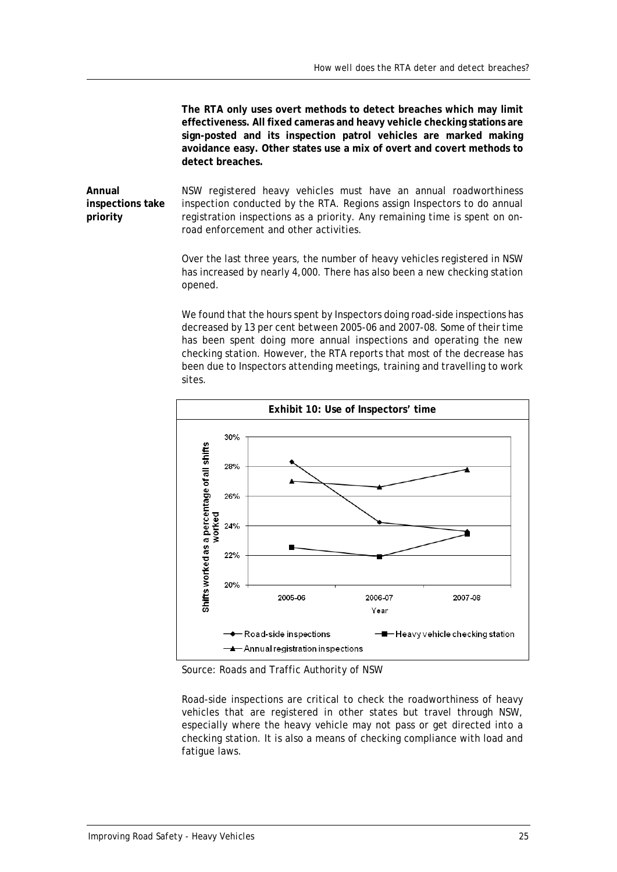**The RTA only uses overt methods to detect breaches which may limit effectiveness. All fixed cameras and heavy vehicle checking stations are sign-posted and its inspection patrol vehicles are marked making avoidance easy. Other states use a mix of overt and covert methods to detect breaches.**

**Annual inspections take priority** NSW registered heavy vehicles must have an annual roadworthiness inspection conducted by the RTA. Regions assign Inspectors to do annual registration inspections as a priority. Any remaining time is spent on onroad enforcement and other activities.

> Over the last three years, the number of heavy vehicles registered in NSW has increased by nearly 4,000. There has also been a new checking station opened.

> We found that the hours spent by Inspectors doing road-side inspections has decreased by 13 per cent between 2005-06 and 2007-08. Some of their time has been spent doing more annual inspections and operating the new checking station. However, the RTA reports that most of the decrease has been due to Inspectors attending meetings, training and travelling to work sites.



Source: Roads and Traffic Authority of NSW

Road-side inspections are critical to check the roadworthiness of heavy vehicles that are registered in other states but travel through NSW, especially where the heavy vehicle may not pass or get directed into a checking station. It is also a means of checking compliance with load and fatigue laws.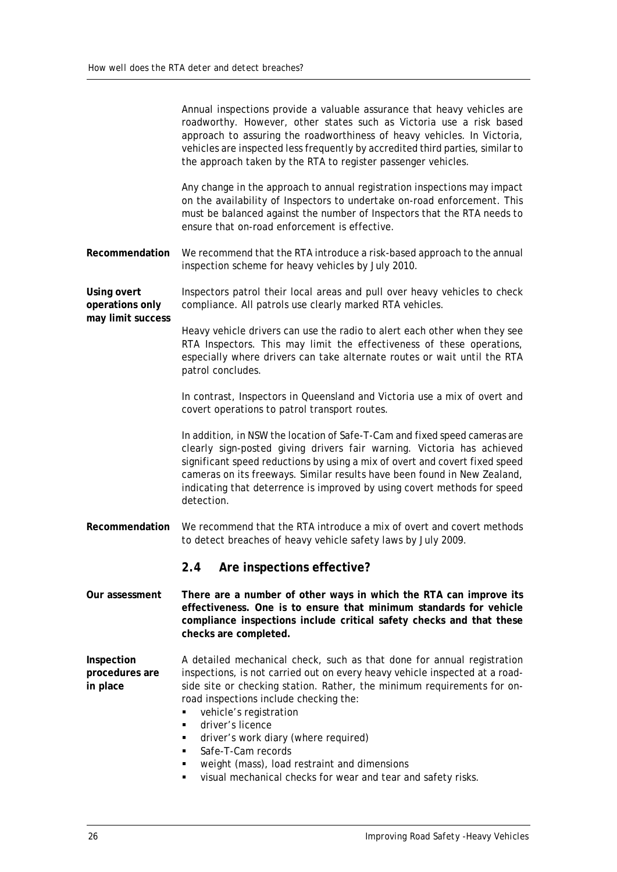<span id="page-31-0"></span>

|                                                     | Annual inspections provide a valuable assurance that heavy vehicles are<br>roadworthy. However, other states such as Victoria use a risk based<br>approach to assuring the roadworthiness of heavy vehicles. In Victoria,<br>vehicles are inspected less frequently by accredited third parties, similar to<br>the approach taken by the RTA to register passenger vehicles.                              |  |  |  |
|-----------------------------------------------------|-----------------------------------------------------------------------------------------------------------------------------------------------------------------------------------------------------------------------------------------------------------------------------------------------------------------------------------------------------------------------------------------------------------|--|--|--|
|                                                     | Any change in the approach to annual registration inspections may impact<br>on the availability of Inspectors to undertake on-road enforcement. This<br>must be balanced against the number of Inspectors that the RTA needs to<br>ensure that on-road enforcement is effective.                                                                                                                          |  |  |  |
| Recommendation                                      | We recommend that the RTA introduce a risk-based approach to the annual<br>inspection scheme for heavy vehicles by July 2010.                                                                                                                                                                                                                                                                             |  |  |  |
| Using overt<br>operations only<br>may limit success | Inspectors patrol their local areas and pull over heavy vehicles to check<br>compliance. All patrols use clearly marked RTA vehicles.                                                                                                                                                                                                                                                                     |  |  |  |
|                                                     | Heavy vehicle drivers can use the radio to alert each other when they see<br>RTA Inspectors. This may limit the effectiveness of these operations,<br>especially where drivers can take alternate routes or wait until the RTA<br>patrol concludes.                                                                                                                                                       |  |  |  |
|                                                     | In contrast, Inspectors in Queensland and Victoria use a mix of overt and<br>covert operations to patrol transport routes.                                                                                                                                                                                                                                                                                |  |  |  |
|                                                     | In addition, in NSW the location of Safe-T-Cam and fixed speed cameras are<br>clearly sign-posted giving drivers fair warning. Victoria has achieved<br>significant speed reductions by using a mix of overt and covert fixed speed<br>cameras on its freeways. Similar results have been found in New Zealand,<br>indicating that deterrence is improved by using covert methods for speed<br>detection. |  |  |  |
| Recommendation                                      | We recommend that the RTA introduce a mix of overt and covert methods<br>to detect breaches of heavy vehicle safety laws by July 2009.                                                                                                                                                                                                                                                                    |  |  |  |
|                                                     | Are inspections effective?<br>2.4                                                                                                                                                                                                                                                                                                                                                                         |  |  |  |
| Our assessment                                      | There are a number of other ways in which the RTA can improve its<br>effectiveness. One is to ensure that minimum standards for vehicle<br>compliance inspections include critical safety checks and that these<br>checks are completed.                                                                                                                                                                  |  |  |  |
| Inspection<br>procedures are<br>in place            | A detailed mechanical check, such as that done for annual registration<br>inspections, is not carried out on every heavy vehicle inspected at a road-<br>side site or checking station. Rather, the minimum requirements for on-                                                                                                                                                                          |  |  |  |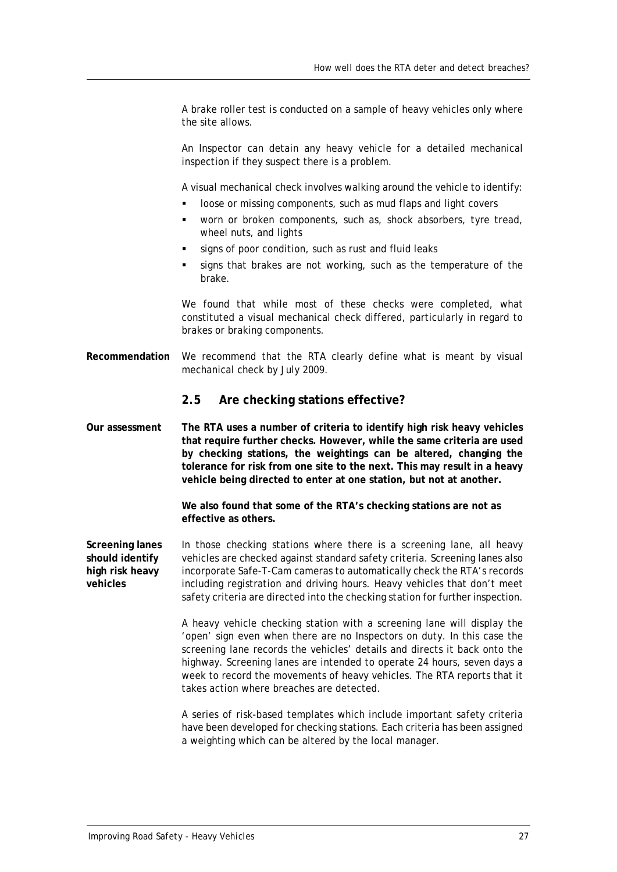A brake roller test is conducted on a sample of heavy vehicles only where the site allows.

An Inspector can detain any heavy vehicle for a detailed mechanical inspection if they suspect there is a problem.

A visual mechanical check involves walking around the vehicle to identify:

- loose or missing components, such as mud flaps and light covers
- worn or broken components, such as, shock absorbers, tyre tread, wheel nuts, and lights
- signs of poor condition, such as rust and fluid leaks
- signs that brakes are not working, such as the temperature of the brake.

We found that while most of these checks were completed, what constituted a visual mechanical check differed, particularly in regard to brakes or braking components.

**Recommendation** We recommend that the RTA clearly define what is meant by visual mechanical check by July 2009.

#### <span id="page-32-0"></span>**2.5 Are checking stations effective?**

**Our assessment The RTA uses a number of criteria to identify high risk heavy vehicles that require further checks. However, while the same criteria are used by checking stations, the weightings can be altered, changing the tolerance for risk from one site to the next. This may result in a heavy vehicle being directed to enter at one station, but not at another.**

> **We also found that some of the RTA's checking stations are not as effective as others.**

**Screening lanes should identify high risk heavy vehicles** In those checking stations where there is a screening lane, all heavy vehicles are checked against standard safety criteria. Screening lanes also incorporate Safe-T-Cam cameras to automatically check the RTA's records including registration and driving hours. Heavy vehicles that don't meet safety criteria are directed into the checking station for further inspection.

> A heavy vehicle checking station with a screening lane will display the 'open' sign even when there are no Inspectors on duty. In this case the screening lane records the vehicles' details and directs it back onto the highway. Screening lanes are intended to operate 24 hours, seven days a week to record the movements of heavy vehicles. The RTA reports that it takes action where breaches are detected.

> A series of risk-based templates which include important safety criteria have been developed for checking stations. Each criteria has been assigned a weighting which can be altered by the local manager.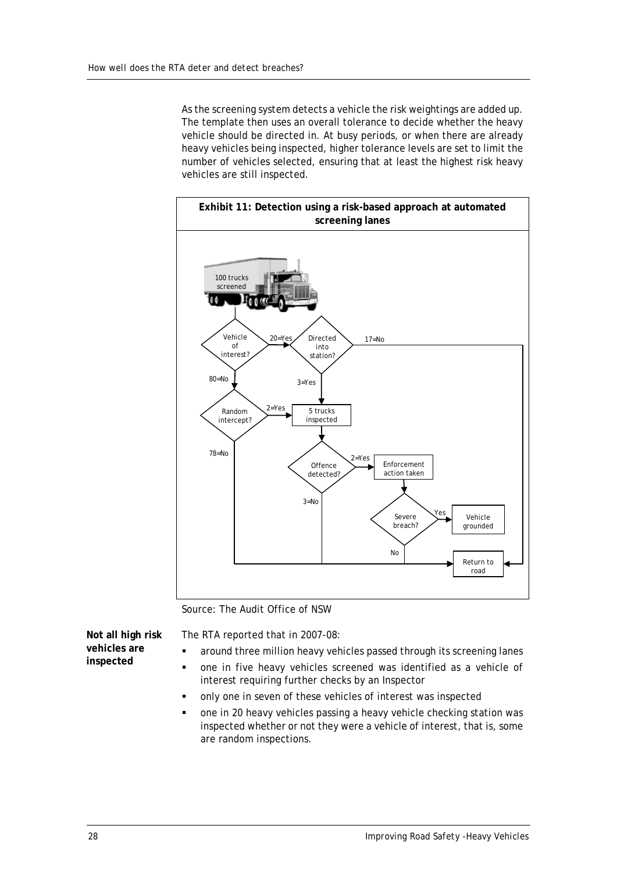As the screening system detects a vehicle the risk weightings are added up. The template then uses an overall tolerance to decide whether the heavy vehicle should be directed in. At busy periods, or when there are already heavy vehicles being inspected, higher tolerance levels are set to limit the number of vehicles selected, ensuring that at least the highest risk heavy vehicles are still inspected.



Source: The Audit Office of NSW

**Not all high risk vehicles are inspected**

The RTA reported that in 2007-08:

- around three million heavy vehicles passed through its screening lanes
- one in five heavy vehicles screened was identified as a vehicle of interest requiring further checks by an Inspector
- only one in seven of these vehicles of interest was inspected
- one in 20 heavy vehicles passing a heavy vehicle checking station was inspected whether or not they were a vehicle of interest, that is, some are random inspections.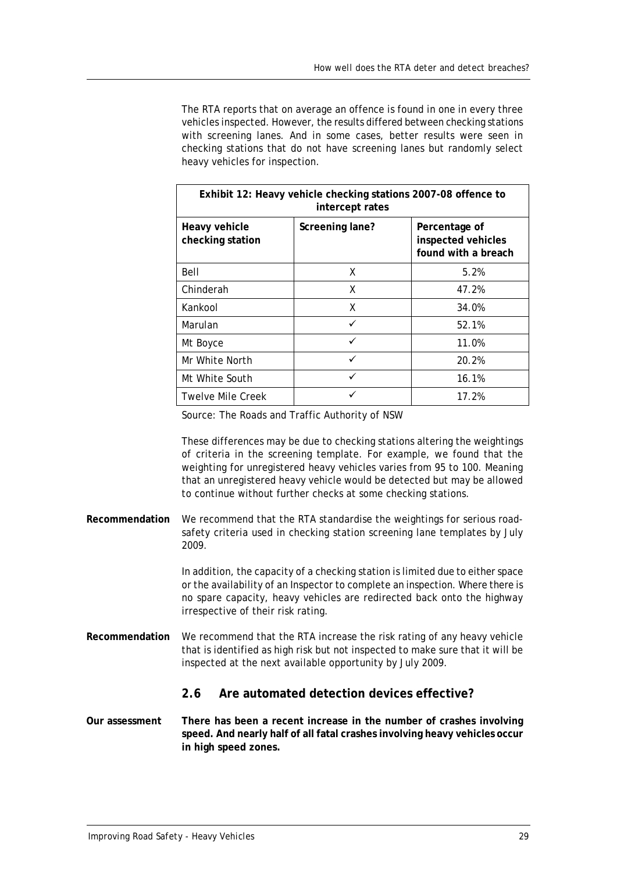The RTA reports that on average an offence is found in one in every three vehicles inspected. However, the results differed between checking stations with screening lanes. And in some cases, better results were seen in checking stations that do not have screening lanes but randomly select heavy vehicles for inspection.

| Exhibit 12: Heavy vehicle checking stations 2007-08 offence to<br>intercept rates |                 |                                                            |  |
|-----------------------------------------------------------------------------------|-----------------|------------------------------------------------------------|--|
| Heavy vehicle<br>checking station                                                 | Screening lane? | Percentage of<br>inspected vehicles<br>found with a breach |  |
| Bell                                                                              | X               | 5.2%                                                       |  |
| Chinderah                                                                         | X               | 47.2%                                                      |  |
| Kankool                                                                           | X               | 34.0%                                                      |  |
| Marulan                                                                           | ✓               | 52.1%                                                      |  |
| Mt Boyce                                                                          | ✓               | 11.0%                                                      |  |
| Mr White North                                                                    | ✓               | 20.2%                                                      |  |
| Mt White South                                                                    | ✓               | 16.1%                                                      |  |
| Twelve Mile Creek                                                                 |                 | 17.2%                                                      |  |

Source: The Roads and Traffic Authority of NSW

These differences may be due to checking stations altering the weightings of criteria in the screening template. For example, we found that the weighting for unregistered heavy vehicles varies from 95 to 100. Meaning that an unregistered heavy vehicle would be detected but may be allowed to continue without further checks at some checking stations.

**Recommendation** We recommend that the RTA standardise the weightings for serious roadsafety criteria used in checking station screening lane templates by July 2009.

> In addition, the capacity of a checking station is limited due to either space or the availability of an Inspector to complete an inspection. Where there is no spare capacity, heavy vehicles are redirected back onto the highway irrespective of their risk rating.

**Recommendation** We recommend that the RTA increase the risk rating of any heavy vehicle that is identified as high risk but not inspected to make sure that it will be inspected at the next available opportunity by July 2009.

#### <span id="page-34-0"></span>**2.6 Are automated detection devices effective?**

**Our assessment There has been a recent increase in the number of crashes involving speed. And nearly half of all fatal crashes involving heavy vehicles occur in high speed zones.**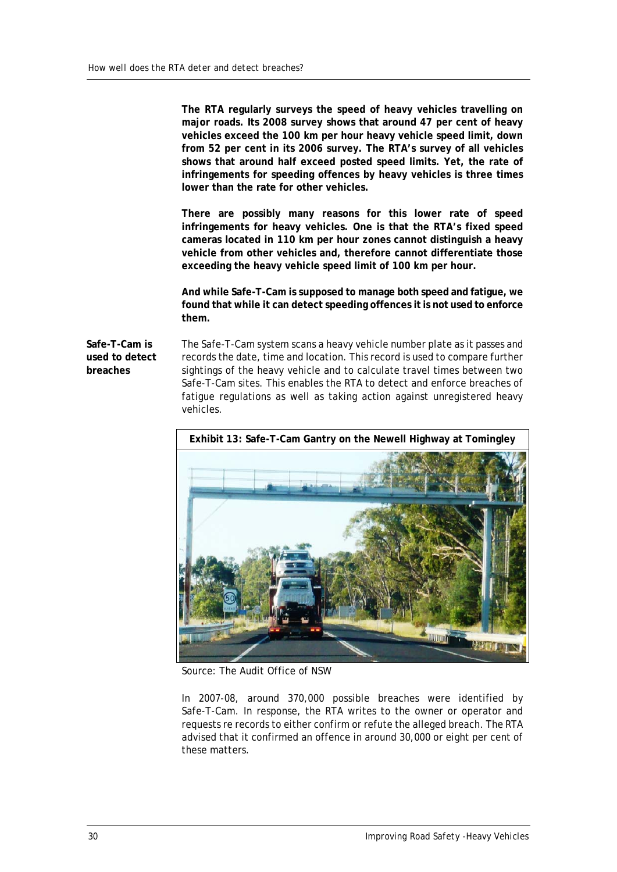**The RTA regularly surveys the speed of heavy vehicles travelling on major roads. Its 2008 survey shows that around 47 per cent of heavy vehicles exceed the 100 km per hour heavy vehicle speed limit, down from 52 per cent in its 2006 survey. The RTA's survey of all vehicles shows that around half exceed posted speed limits. Yet, the rate of infringements for speeding offences by heavy vehicles is three times lower than the rate for other vehicles.**

**There are possibly many reasons for this lower rate of speed infringements for heavy vehicles. One is that the RTA's fixed speed cameras located in 110 km per hour zones cannot distinguish a heavy vehicle from other vehicles and, therefore cannot differentiate those exceeding the heavy vehicle speed limit of 100 km per hour.**

**And while Safe-T-Cam is supposed to manage both speed and fatigue, we found that while it can detect speeding offences it is not used to enforce them.**

**Safe-T-Cam is used to detect breaches**

The Safe-T-Cam system scans a heavy vehicle number plate as it passes and records the date, time and location. This record is used to compare further sightings of the heavy vehicle and to calculate travel times between two Safe-T-Cam sites. This enables the RTA to detect and enforce breaches of fatigue regulations as well as taking action against unregistered heavy vehicles.



Source: The Audit Office of NSW

In 2007-08, around 370,000 possible breaches were identified by Safe-T-Cam. In response, the RTA writes to the owner or operator and requests re records to either confirm or refute the alleged breach. The RTA advised that it confirmed an offence in around 30,000 or eight per cent of these matters.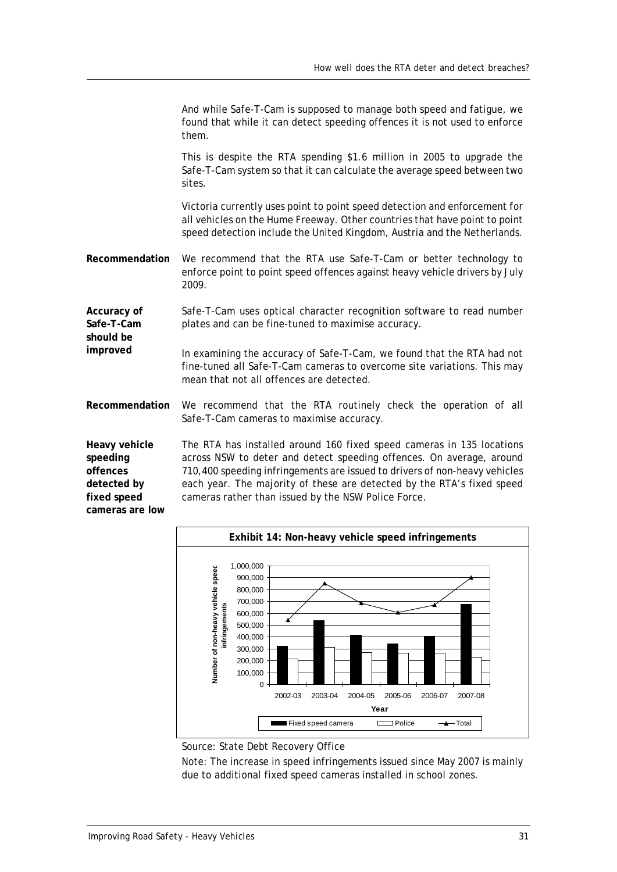|                                                                                        | And while Safe-T-Cam is supposed to manage both speed and fatigue, we<br>found that while it can detect speeding offences it is not used to enforce<br>them.                                                                                                                                                                                                 |
|----------------------------------------------------------------------------------------|--------------------------------------------------------------------------------------------------------------------------------------------------------------------------------------------------------------------------------------------------------------------------------------------------------------------------------------------------------------|
|                                                                                        | This is despite the RTA spending \$1.6 million in 2005 to upgrade the<br>Safe-T-Cam system so that it can calculate the average speed between two<br>sites.                                                                                                                                                                                                  |
|                                                                                        | Victoria currently uses point to point speed detection and enforcement for<br>all vehicles on the Hume Freeway. Other countries that have point to point<br>speed detection include the United Kingdom, Austria and the Netherlands.                                                                                                                         |
| Recommendation                                                                         | We recommend that the RTA use Safe-T-Cam or better technology to<br>enforce point to point speed offences against heavy vehicle drivers by July<br>2009.                                                                                                                                                                                                     |
| Accuracy of<br>Safe-T-Cam<br>should be                                                 | Safe-T-Cam uses optical character recognition software to read number<br>plates and can be fine-tuned to maximise accuracy.                                                                                                                                                                                                                                  |
| improved                                                                               | In examining the accuracy of Safe-T-Cam, we found that the RTA had not<br>fine-tuned all Safe-T-Cam cameras to overcome site variations. This may<br>mean that not all offences are detected.                                                                                                                                                                |
| Recommendation                                                                         | We recommend that the RTA routinely check the operation of all<br>Safe-T-Cam cameras to maximise accuracy.                                                                                                                                                                                                                                                   |
| Heavy vehicle<br>speeding<br>offences<br>detected by<br>fixed speed<br>cameras are low | The RTA has installed around 160 fixed speed cameras in 135 locations<br>across NSW to deter and detect speeding offences. On average, around<br>710,400 speeding infringements are issued to drivers of non-heavy vehicles<br>each year. The majority of these are detected by the RTA's fixed speed<br>cameras rather than issued by the NSW Police Force. |



Source: State Debt Recovery Office

Note: The increase in speed infringements issued since May 2007 is mainly due to additional fixed speed cameras installed in school zones.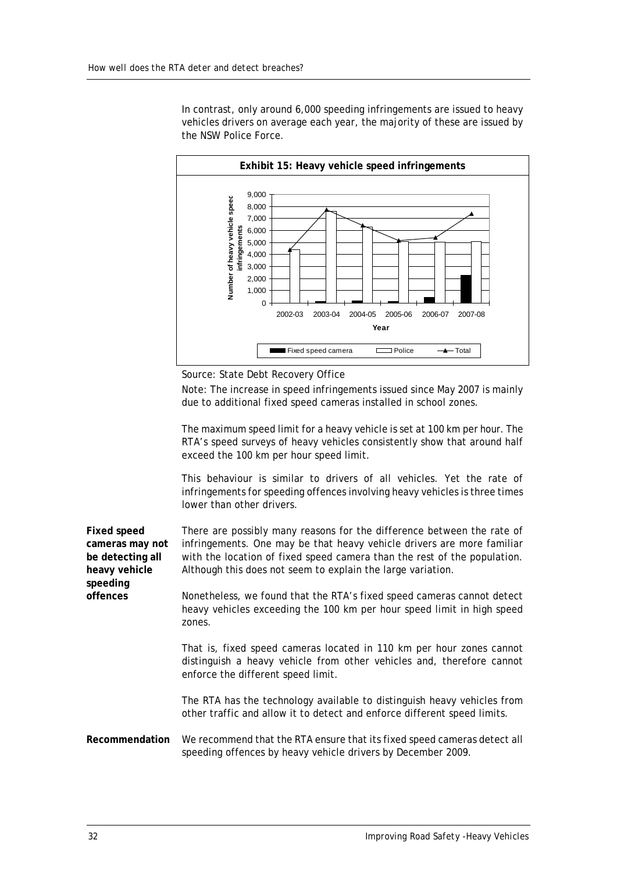In contrast, only around 6,000 speeding infringements are issued to heavy vehicles drivers on average each year, the majority of these are issued by the NSW Police Force.



Source: State Debt Recovery Office

Note: The increase in speed infringements issued since May 2007 is mainly due to additional fixed speed cameras installed in school zones.

The maximum speed limit for a heavy vehicle is set at 100 km per hour. The RTA's speed surveys of heavy vehicles consistently show that around half exceed the 100 km per hour speed limit.

This behaviour is similar to drivers of all vehicles. Yet the rate of infringements for speeding offences involving heavy vehicles is three times lower than other drivers.

**Fixed speed cameras may not be detecting all heavy vehicle speeding**  There are possibly many reasons for the difference between the rate of infringements. One may be that heavy vehicle drivers are more familiar with the location of fixed speed camera than the rest of the population. Although this does not seem to explain the large variation.

> Nonetheless, we found that the RTA's fixed speed cameras cannot detect heavy vehicles exceeding the 100 km per hour speed limit in high speed zones.

> That is, fixed speed cameras located in 110 km per hour zones cannot distinguish a heavy vehicle from other vehicles and, therefore cannot enforce the different speed limit.

> The RTA has the technology available to distinguish heavy vehicles from other traffic and allow it to detect and enforce different speed limits.

**Recommendation** We recommend that the RTA ensure that its fixed speed cameras detect all speeding offences by heavy vehicle drivers by December 2009.

**offences**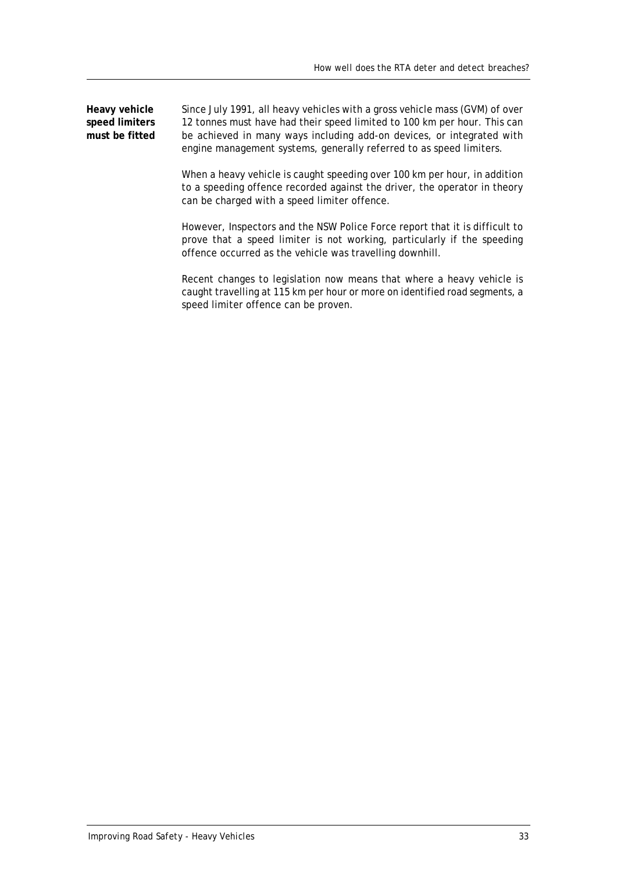**Heavy vehicle speed limiters must be fitted** Since July 1991, all heavy vehicles with a gross vehicle mass (GVM) of over 12 tonnes must have had their speed limited to 100 km per hour. This can be achieved in many ways including add-on devices, or integrated with engine management systems, generally referred to as speed limiters.

> When a heavy vehicle is caught speeding over 100 km per hour, in addition to a speeding offence recorded against the driver, the operator in theory can be charged with a speed limiter offence.

> However, Inspectors and the NSW Police Force report that it is difficult to prove that a speed limiter is not working, particularly if the speeding offence occurred as the vehicle was travelling downhill.

> Recent changes to legislation now means that where a heavy vehicle is caught travelling at 115 km per hour or more on identified road segments, a speed limiter offence can be proven.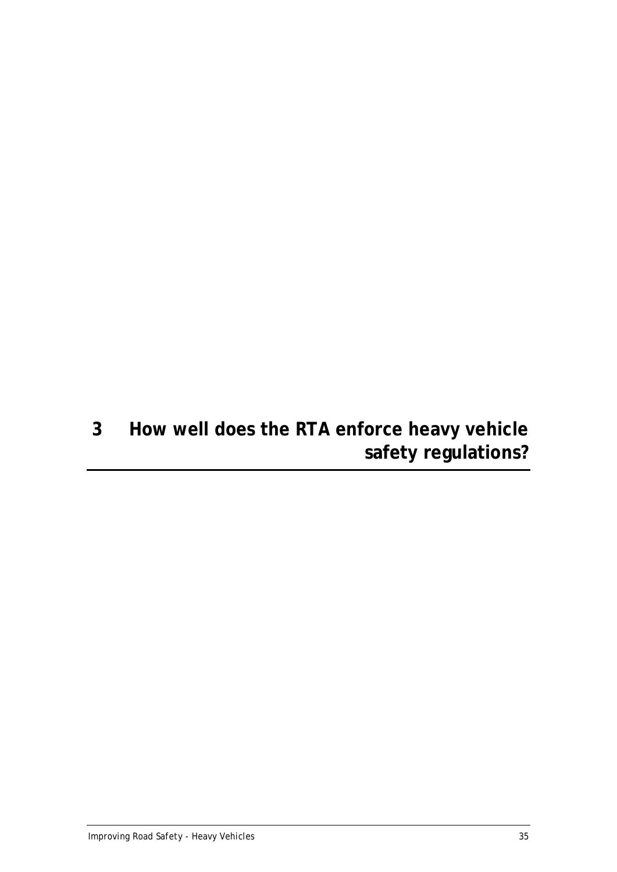# <span id="page-40-0"></span>**3 How well does the RTA enforce heavy vehicle safety regulations?**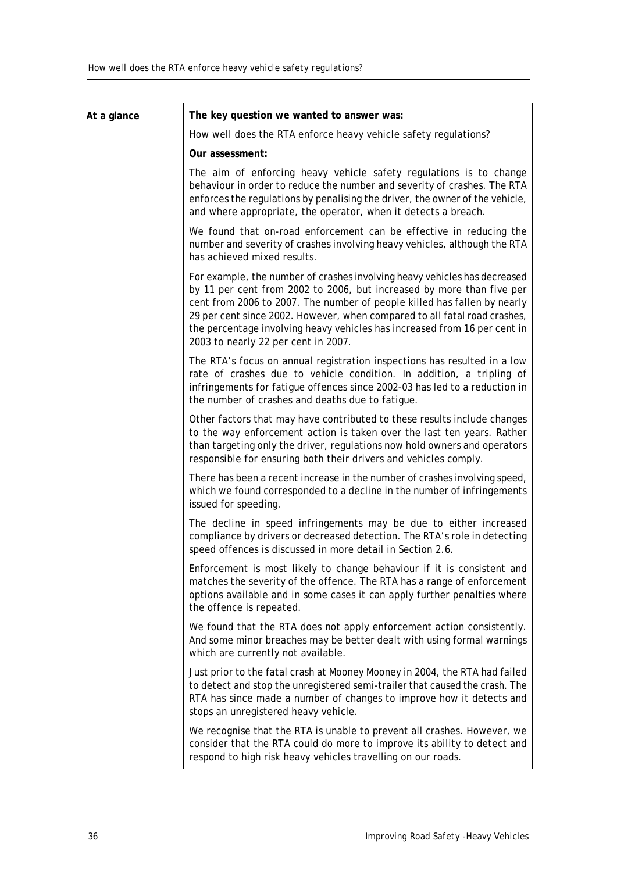| At a glance | The key question we wanted to answer was:                                                                                                                                                                                                                                                                                                                                                                                       |
|-------------|---------------------------------------------------------------------------------------------------------------------------------------------------------------------------------------------------------------------------------------------------------------------------------------------------------------------------------------------------------------------------------------------------------------------------------|
|             | How well does the RTA enforce heavy vehicle safety regulations?                                                                                                                                                                                                                                                                                                                                                                 |
|             | Our assessment:                                                                                                                                                                                                                                                                                                                                                                                                                 |
|             | The aim of enforcing heavy vehicle safety regulations is to change<br>behaviour in order to reduce the number and severity of crashes. The RTA<br>enforces the regulations by penalising the driver, the owner of the vehicle,<br>and where appropriate, the operator, when it detects a breach.                                                                                                                                |
|             | We found that on-road enforcement can be effective in reducing the<br>number and severity of crashes involving heavy vehicles, although the RTA<br>has achieved mixed results.                                                                                                                                                                                                                                                  |
|             | For example, the number of crashes involving heavy vehicles has decreased<br>by 11 per cent from 2002 to 2006, but increased by more than five per<br>cent from 2006 to 2007. The number of people killed has fallen by nearly<br>29 per cent since 2002. However, when compared to all fatal road crashes,<br>the percentage involving heavy vehicles has increased from 16 per cent in<br>2003 to nearly 22 per cent in 2007. |
|             | The RTA's focus on annual registration inspections has resulted in a low<br>rate of crashes due to vehicle condition. In addition, a tripling of<br>infringements for fatigue offences since 2002-03 has led to a reduction in<br>the number of crashes and deaths due to fatigue.                                                                                                                                              |
|             | Other factors that may have contributed to these results include changes<br>to the way enforcement action is taken over the last ten years. Rather<br>than targeting only the driver, regulations now hold owners and operators<br>responsible for ensuring both their drivers and vehicles comply.                                                                                                                             |
|             | There has been a recent increase in the number of crashes involving speed,<br>which we found corresponded to a decline in the number of infringements<br>issued for speeding.                                                                                                                                                                                                                                                   |
|             | The decline in speed infringements may be due to either increased<br>compliance by drivers or decreased detection. The RTA's role in detecting<br>speed offences is discussed in more detail in Section 2.6.                                                                                                                                                                                                                    |
|             | Enforcement is most likely to change behaviour if it is consistent and<br>matches the severity of the offence. The RTA has a range of enforcement<br>options available and in some cases it can apply further penalties where<br>the offence is repeated.                                                                                                                                                                       |
|             | We found that the RTA does not apply enforcement action consistently.<br>And some minor breaches may be better dealt with using formal warnings<br>which are currently not available.                                                                                                                                                                                                                                           |
|             | Just prior to the fatal crash at Mooney Mooney in 2004, the RTA had failed<br>to detect and stop the unregistered semi-trailer that caused the crash. The<br>RTA has since made a number of changes to improve how it detects and<br>stops an unregistered heavy vehicle.                                                                                                                                                       |
|             | We recognise that the RTA is unable to prevent all crashes. However, we<br>consider that the RTA could do more to improve its ability to detect and<br>respond to high risk heavy vehicles travelling on our roads.                                                                                                                                                                                                             |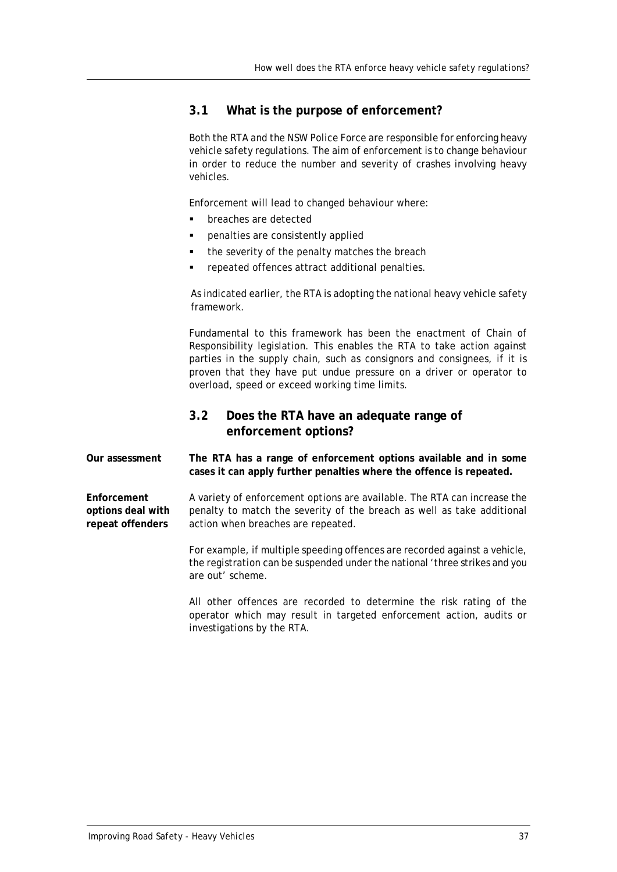### <span id="page-42-0"></span>**3.1 What is the purpose of enforcement?**

Both the RTA and the NSW Police Force are responsible for enforcing heavy vehicle safety regulations. The aim of enforcement is to change behaviour in order to reduce the number and severity of crashes involving heavy vehicles.

Enforcement will lead to changed behaviour where:

- **•** breaches are detected
- penalties are consistently applied
- the severity of the penalty matches the breach
- repeated offences attract additional penalties.

As indicated earlier, the RTA is adopting the national heavy vehicle safety framework.

Fundamental to this framework has been the enactment of Chain of Responsibility legislation. This enables the RTA to take action against parties in the supply chain, such as consignors and consignees, if it is proven that they have put undue pressure on a driver or operator to overload, speed or exceed working time limits.

## <span id="page-42-1"></span>**3.2 Does the RTA have an adequate range of enforcement options?**

**Our assessment The RTA has a range of enforcement options available and in some cases it can apply further penalties where the offence is repeated.**

**Enforcement options deal with repeat offenders** A variety of enforcement options are available. The RTA can increase the penalty to match the severity of the breach as well as take additional action when breaches are repeated.

> For example, if multiple speeding offences are recorded against a vehicle, the registration can be suspended under the national 'three strikes and you are out' scheme.

> All other offences are recorded to determine the risk rating of the operator which may result in targeted enforcement action, audits or investigations by the RTA.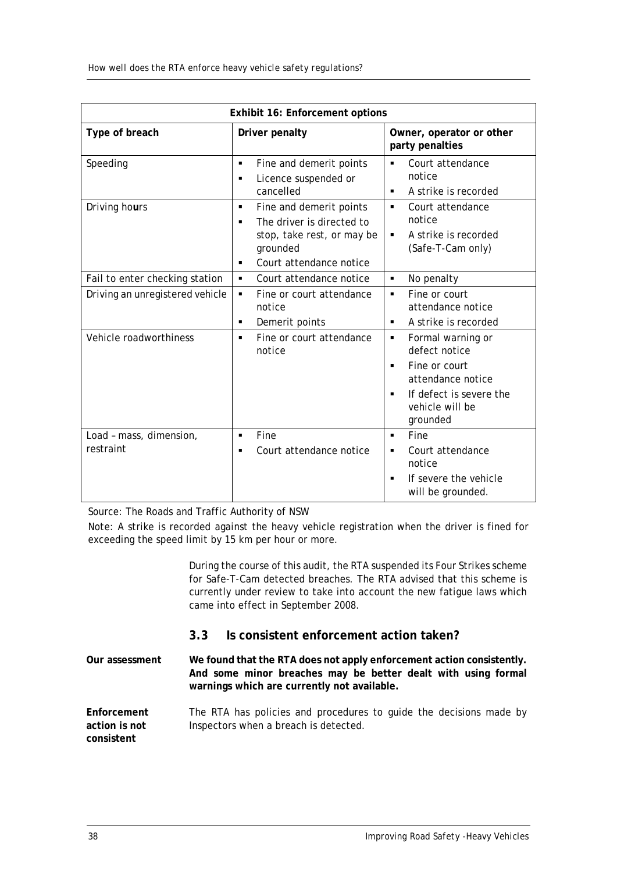|                                      | Exhibit 16: Enforcement options                                                                                                          |                                                                                                                                                                             |  |  |  |
|--------------------------------------|------------------------------------------------------------------------------------------------------------------------------------------|-----------------------------------------------------------------------------------------------------------------------------------------------------------------------------|--|--|--|
| Type of breach                       | Driver penalty                                                                                                                           | Owner, operator or other<br>party penalties                                                                                                                                 |  |  |  |
| Speeding                             | Fine and demerit points<br>٠<br>Licence suspended or<br>$\blacksquare$<br>cancelled                                                      | Court attendance<br>٠<br>notice<br>A strike is recorded<br>٠                                                                                                                |  |  |  |
| Driving hours                        | Fine and demerit points<br>٠<br>The driver is directed to<br>٠<br>stop, take rest, or may be<br>grounded<br>Court attendance notice<br>٠ | Court attendance<br>٠<br>notice<br>A strike is recorded<br>٠<br>(Safe-T-Cam only)                                                                                           |  |  |  |
| Fail to enter checking station       | Court attendance notice<br>٠                                                                                                             | No penalty<br>٠                                                                                                                                                             |  |  |  |
| Driving an unregistered vehicle      | Fine or court attendance<br>٠<br>notice<br>Demerit points<br>٠                                                                           | Fine or court<br>٠<br>attendance notice<br>A strike is recorded<br>٠                                                                                                        |  |  |  |
| Vehicle roadworthiness               | Fine or court attendance<br>٠<br>notice                                                                                                  | Formal warning or<br>٠<br>defect notice<br>Fine or court<br>$\blacksquare$<br>attendance notice<br>If defect is severe the<br>$\blacksquare$<br>vehicle will be<br>grounded |  |  |  |
| Load - mass, dimension,<br>restraint | Fine<br>$\blacksquare$<br>Court attendance notice                                                                                        | Fine<br>٠<br>Court attendance<br>٠<br>notice<br>If severe the vehicle<br>will be grounded.                                                                                  |  |  |  |

Source: The Roads and Traffic Authority of NSW

Note: A strike is recorded against the heavy vehicle registration when the driver is fined for exceeding the speed limit by 15 km per hour or more.

> During the course of this audit, the RTA suspended its Four Strikes scheme for Safe-T-Cam detected breaches. The RTA advised that this scheme is currently under review to take into account the new fatigue laws which came into effect in September 2008.

## <span id="page-43-0"></span>**3.3 Is consistent enforcement action taken?**

**Our assessment We found that the RTA does not apply enforcement action consistently. And some minor breaches may be better dealt with using formal warnings which are currently not available.**

**Enforcement action is not consistent** The RTA has policies and procedures to guide the decisions made by Inspectors when a breach is detected.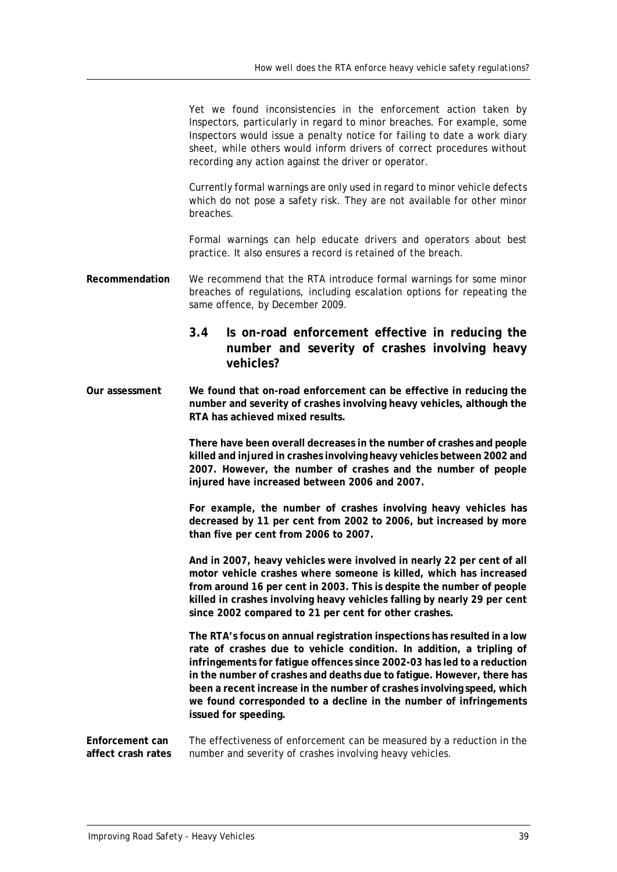Yet we found inconsistencies in the enforcement action taken by Inspectors, particularly in regard to minor breaches. For example, some Inspectors would issue a penalty notice for failing to date a work diary sheet, while others would inform drivers of correct procedures without recording any action against the driver or operator.

Currently formal warnings are only used in regard to minor vehicle defects which do not pose a safety risk. They are not available for other minor breaches.

Formal warnings can help educate drivers and operators about best practice. It also ensures a record is retained of the breach.

**Recommendation** We recommend that the RTA introduce formal warnings for some minor breaches of regulations, including escalation options for repeating the same offence, by December 2009.

## <span id="page-44-0"></span>**3.4 Is on-road enforcement effective in reducing the number and severity of crashes involving heavy vehicles?**

**Our assessment We found that on-road enforcement can be effective in reducing the number and severity of crashes involving heavy vehicles, although the RTA has achieved mixed results.**

> **There have been overall decreases in the number of crashes and people killed and injured in crashes involving heavy vehicles between 2002 and 2007. However, the number of crashes and the number of people injured have increased between 2006 and 2007.**

> **For example, the number of crashes involving heavy vehicles has decreased by 11 per cent from 2002 to 2006, but increased by more than five per cent from 2006 to 2007.**

> **And in 2007, heavy vehicles were involved in nearly 22 per cent of all motor vehicle crashes where someone is killed, which has increased from around 16 per cent in 2003. This is despite the number of people killed in crashes involving heavy vehicles falling by nearly 29 per cent since 2002 compared to 21 per cent for other crashes.**

**The RTA's focus on annual registration inspections has resulted in a low rate of crashes due to vehicle condition. In addition, a tripling of infringements for fatigue offences since 2002-03 has led to a reduction in the number of crashes and deaths due to fatigue. However, there has been a recent increase in the number of crashes involving speed, which we found corresponded to a decline in the number of infringements issued for speeding.**

**Enforcement can affect crash rates** The effectiveness of enforcement can be measured by a reduction in the number and severity of crashes involving heavy vehicles.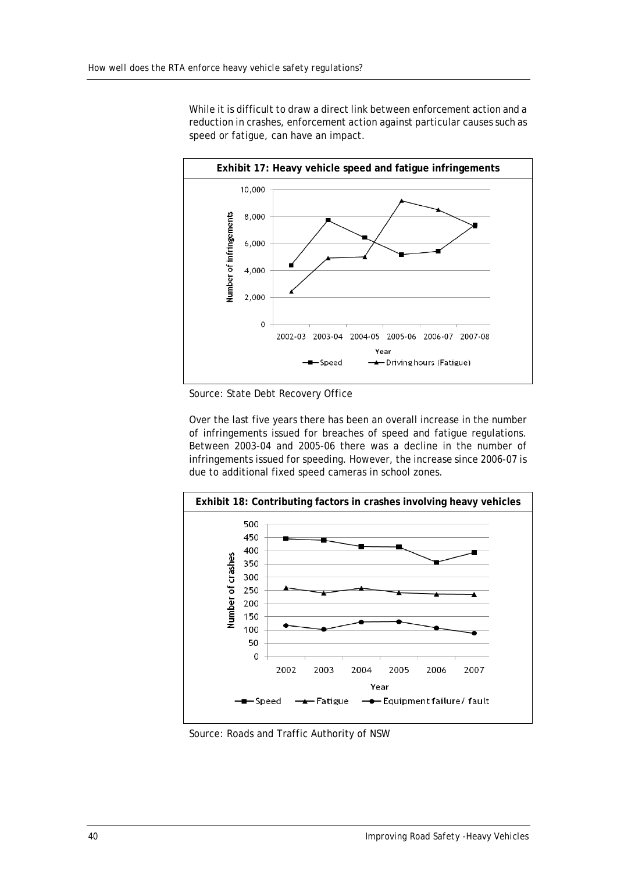While it is difficult to draw a direct link between enforcement action and a reduction in crashes, enforcement action against particular causes such as speed or fatigue, can have an impact.



Source: State Debt Recovery Office

Over the last five years there has been an overall increase in the number of infringements issued for breaches of speed and fatigue regulations. Between 2003-04 and 2005-06 there was a decline in the number of infringements issued for speeding. However, the increase since 2006-07 is due to additional fixed speed cameras in school zones.



Source: Roads and Traffic Authority of NSW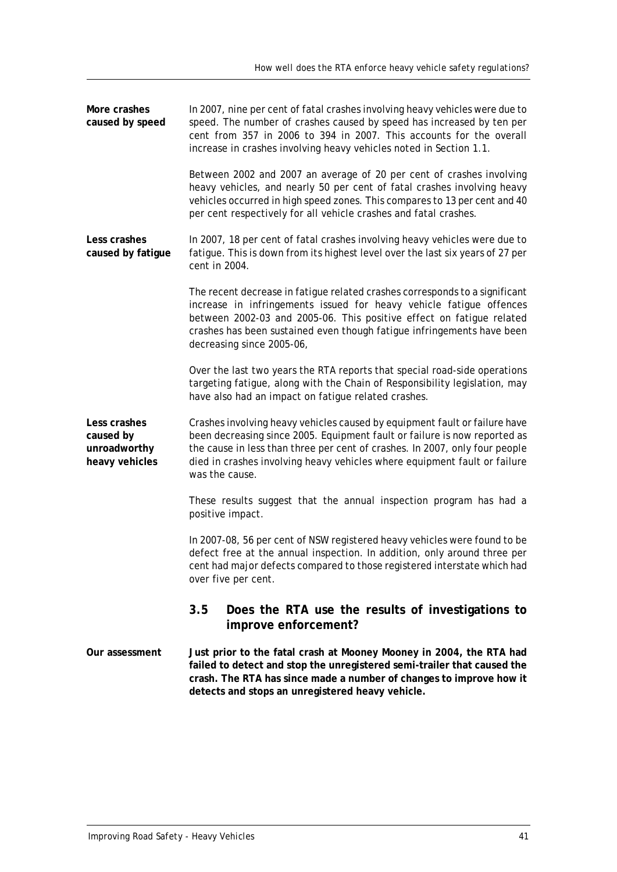<span id="page-46-0"></span>

| More crashes<br>caused by speed                             | In 2007, nine per cent of fatal crashes involving heavy vehicles were due to<br>speed. The number of crashes caused by speed has increased by ten per<br>cent from 357 in 2006 to 394 in 2007. This accounts for the overall<br>increase in crashes involving heavy vehicles noted in Section 1.1.                                    |
|-------------------------------------------------------------|---------------------------------------------------------------------------------------------------------------------------------------------------------------------------------------------------------------------------------------------------------------------------------------------------------------------------------------|
|                                                             | Between 2002 and 2007 an average of 20 per cent of crashes involving<br>heavy vehicles, and nearly 50 per cent of fatal crashes involving heavy<br>vehicles occurred in high speed zones. This compares to 13 per cent and 40<br>per cent respectively for all vehicle crashes and fatal crashes.                                     |
| Less crashes<br>caused by fatigue                           | In 2007, 18 per cent of fatal crashes involving heavy vehicles were due to<br>fatigue. This is down from its highest level over the last six years of 27 per<br>cent in 2004.                                                                                                                                                         |
|                                                             | The recent decrease in fatigue related crashes corresponds to a significant<br>increase in infringements issued for heavy vehicle fatigue offences<br>between 2002-03 and 2005-06. This positive effect on fatigue related<br>crashes has been sustained even though fatigue infringements have been<br>decreasing since 2005-06,     |
|                                                             | Over the last two years the RTA reports that special road-side operations<br>targeting fatigue, along with the Chain of Responsibility legislation, may<br>have also had an impact on fatigue related crashes.                                                                                                                        |
| Less crashes<br>caused by<br>unroadworthy<br>heavy vehicles | Crashes involving heavy vehicles caused by equipment fault or failure have<br>been decreasing since 2005. Equipment fault or failure is now reported as<br>the cause in less than three per cent of crashes. In 2007, only four people<br>died in crashes involving heavy vehicles where equipment fault or failure<br>was the cause. |
|                                                             | These results suggest that the annual inspection program has had a<br>positive impact.                                                                                                                                                                                                                                                |
|                                                             | In 2007-08, 56 per cent of NSW registered heavy vehicles were found to be<br>defect free at the annual inspection. In addition, only around three per<br>cent had major defects compared to those registered interstate which had<br>over five per cent.                                                                              |
|                                                             | 3.5<br>Does the RTA use the results of investigations to<br>improve enforcement?                                                                                                                                                                                                                                                      |
| Our assessment                                              | Just prior to the fatal crash at Mooney Mooney in 2004, the RTA had<br>failed to detect and stop the unregistered semi-trailer that caused the<br>crash. The RTA has since made a number of changes to improve how it<br>detects and stops an unregistered heavy vehicle.                                                             |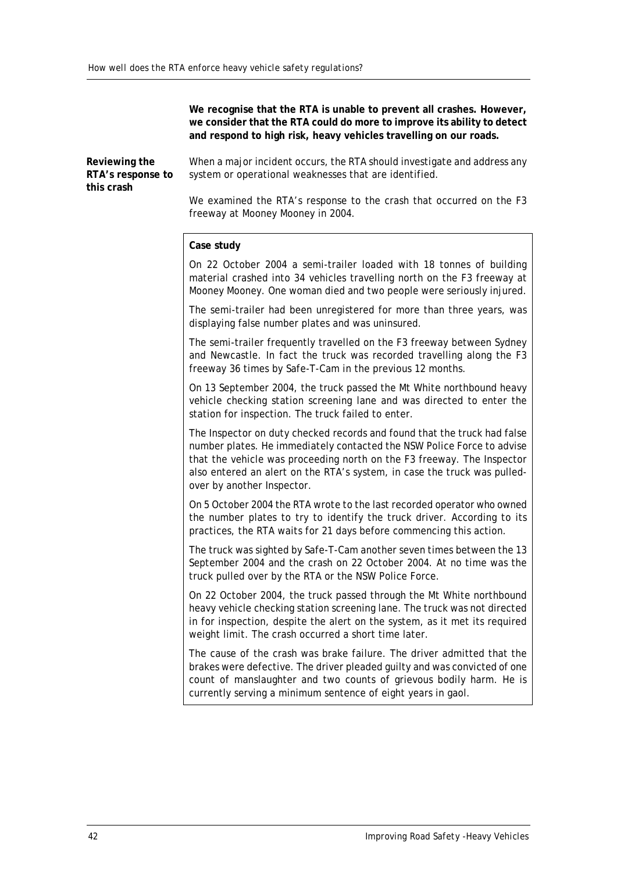**We recognise that the RTA is unable to prevent all crashes. However, we consider that the RTA could do more to improve its ability to detect and respond to high risk, heavy vehicles travelling on our roads.**

**Reviewing the RTA's response to this crash**

When a major incident occurs, the RTA should investigate and address any system or operational weaknesses that are identified.

We examined the RTA's response to the crash that occurred on the F3 freeway at Mooney Mooney in 2004.

#### **Case study**

On 22 October 2004 a semi-trailer loaded with 18 tonnes of building material crashed into 34 vehicles travelling north on the F3 freeway at Mooney Mooney. One woman died and two people were seriously injured.

The semi-trailer had been unregistered for more than three years, was displaying false number plates and was uninsured.

The semi-trailer frequently travelled on the F3 freeway between Sydney and Newcastle. In fact the truck was recorded travelling along the F3 freeway 36 times by Safe-T-Cam in the previous 12 months.

On 13 September 2004, the truck passed the Mt White northbound heavy vehicle checking station screening lane and was directed to enter the station for inspection. The truck failed to enter.

The Inspector on duty checked records and found that the truck had false number plates. He immediately contacted the NSW Police Force to advise that the vehicle was proceeding north on the F3 freeway. The Inspector also entered an alert on the RTA's system, in case the truck was pulledover by another Inspector.

On 5 October 2004 the RTA wrote to the last recorded operator who owned the number plates to try to identify the truck driver. According to its practices, the RTA waits for 21 days before commencing this action.

The truck was sighted by Safe-T-Cam another seven times between the 13 September 2004 and the crash on 22 October 2004. At no time was the truck pulled over by the RTA or the NSW Police Force.

On 22 October 2004, the truck passed through the Mt White northbound heavy vehicle checking station screening lane. The truck was not directed in for inspection, despite the alert on the system, as it met its required weight limit. The crash occurred a short time later.

The cause of the crash was brake failure. The driver admitted that the brakes were defective. The driver pleaded guilty and was convicted of one count of manslaughter and two counts of grievous bodily harm. He is currently serving a minimum sentence of eight years in gaol.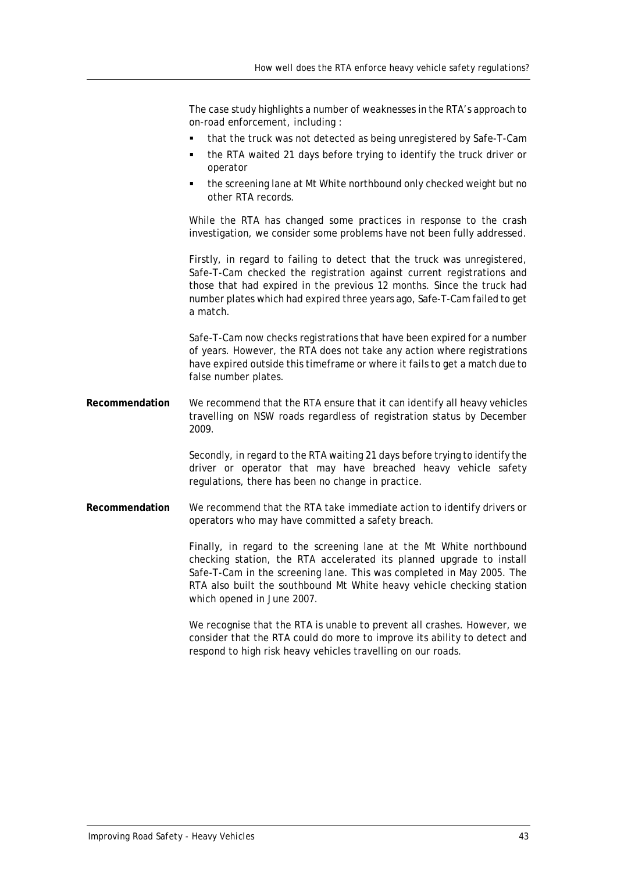The case study highlights a number of weaknesses in the RTA's approach to on-road enforcement, including :

- that the truck was not detected as being unregistered by Safe-T-Cam
- the RTA waited 21 days before trying to identify the truck driver or operator
- the screening lane at Mt White northbound only checked weight but no other RTA records.

While the RTA has changed some practices in response to the crash investigation, we consider some problems have not been fully addressed.

Firstly, in regard to failing to detect that the truck was unregistered, Safe-T-Cam checked the registration against current registrations and those that had expired in the previous 12 months. Since the truck had number plates which had expired three years ago, Safe-T-Cam failed to get a match.

Safe-T-Cam now checks registrations that have been expired for a number of years. However, the RTA does not take any action where registrations have expired outside this timeframe or where it fails to get a match due to false number plates.

**Recommendation** We recommend that the RTA ensure that it can identify all heavy vehicles travelling on NSW roads regardless of registration status by December 2009.

> Secondly, in regard to the RTA waiting 21 days before trying to identify the driver or operator that may have breached heavy vehicle safety regulations, there has been no change in practice.

**Recommendation** We recommend that the RTA take immediate action to identify drivers or operators who may have committed a safety breach.

> Finally, in regard to the screening lane at the Mt White northbound checking station, the RTA accelerated its planned upgrade to install Safe-T-Cam in the screening lane. This was completed in May 2005. The RTA also built the southbound Mt White heavy vehicle checking station which opened in June 2007.

> We recognise that the RTA is unable to prevent all crashes. However, we consider that the RTA could do more to improve its ability to detect and respond to high risk heavy vehicles travelling on our roads.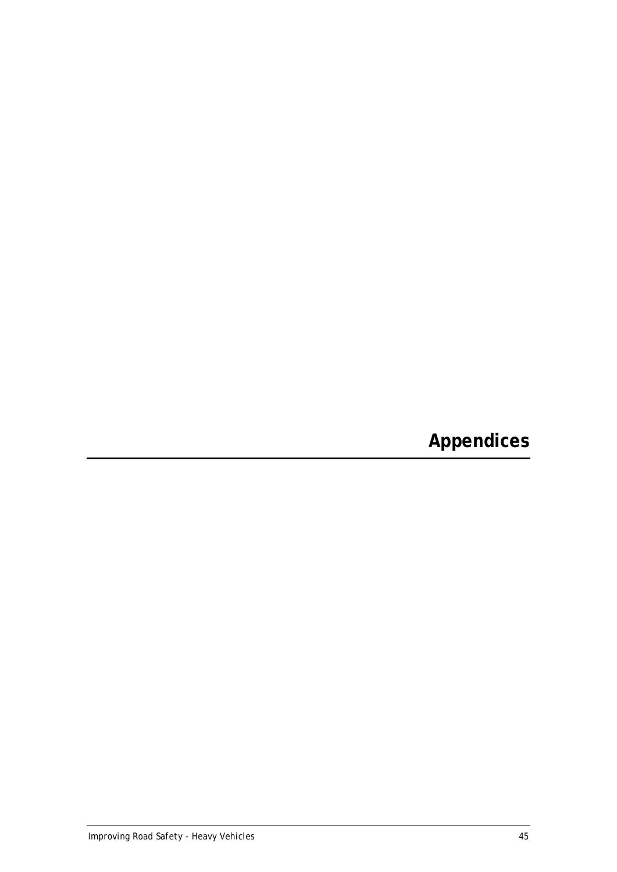<span id="page-50-0"></span>**Appendices**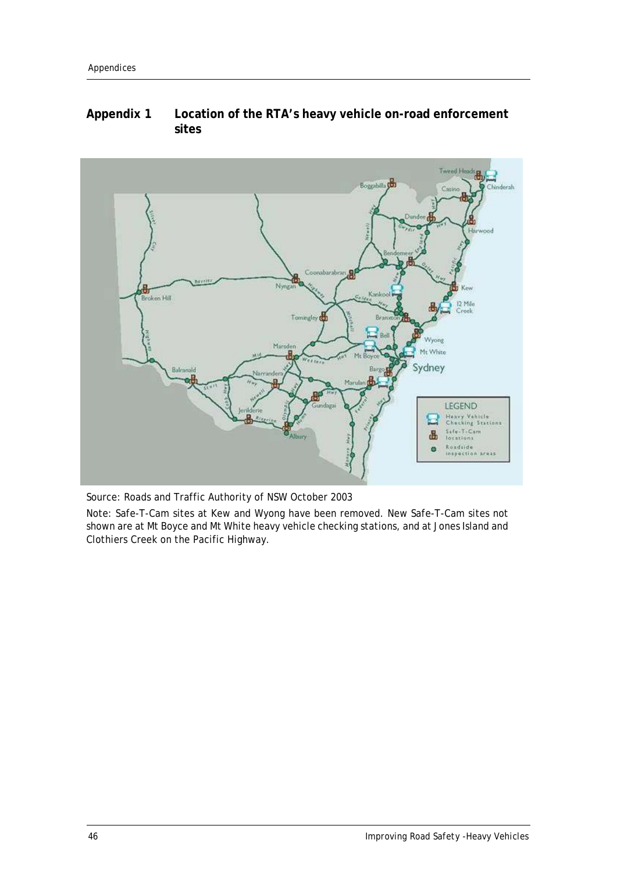# <span id="page-51-0"></span>**Appendix 1 Location of the RTA's heavy vehicle on-road enforcement sites**



Source: Roads and Traffic Authority of NSW October 2003

Note: Safe-T-Cam sites at Kew and Wyong have been removed. New Safe-T-Cam sites not shown are at Mt Boyce and Mt White heavy vehicle checking stations, and at Jones Island and Clothiers Creek on the Pacific Highway.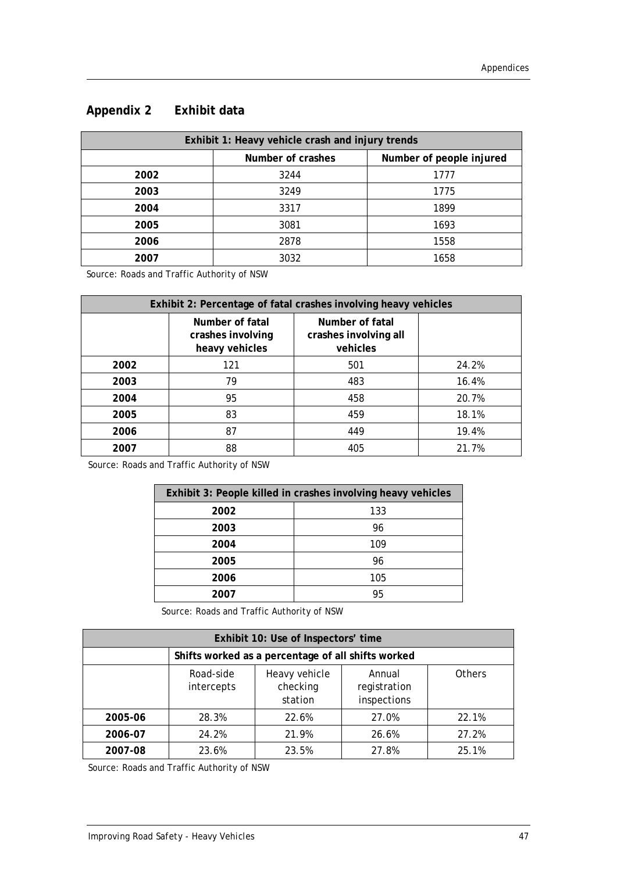| Exhibit 1: Heavy vehicle crash and injury trends |                                               |      |  |  |
|--------------------------------------------------|-----------------------------------------------|------|--|--|
|                                                  | Number of crashes<br>Number of people injured |      |  |  |
| 2002                                             | 3244                                          | 1777 |  |  |
| 2003                                             | 3249                                          | 1775 |  |  |
| 2004                                             | 3317                                          | 1899 |  |  |
| 2005                                             | 3081                                          | 1693 |  |  |
| 2006                                             | 2878                                          | 1558 |  |  |
| 2007                                             | 3032                                          | 1658 |  |  |

# <span id="page-52-0"></span>**Appendix 2 Exhibit data**

Source: Roads and Traffic Authority of NSW

| Exhibit 2: Percentage of fatal crashes involving heavy vehicles |                                                        |                                                      |       |  |  |
|-----------------------------------------------------------------|--------------------------------------------------------|------------------------------------------------------|-------|--|--|
|                                                                 | Number of fatal<br>crashes involving<br>heavy vehicles | Number of fatal<br>crashes involving all<br>vehicles |       |  |  |
| 2002                                                            | 121                                                    | 501                                                  | 24.2% |  |  |
| 2003                                                            | 79                                                     | 483                                                  | 16.4% |  |  |
| 2004                                                            | 95                                                     | 458                                                  | 20.7% |  |  |
| 2005                                                            | 83                                                     | 459                                                  | 18.1% |  |  |
| 2006                                                            | 87                                                     | 449                                                  | 19.4% |  |  |
| 2007                                                            | 88                                                     | 405                                                  | 21.7% |  |  |

Source: Roads and Traffic Authority of NSW

| Exhibit 3: People killed in crashes involving heavy vehicles |     |  |  |  |
|--------------------------------------------------------------|-----|--|--|--|
| 2002                                                         | 133 |  |  |  |
| 2003                                                         | 96  |  |  |  |
| 2004                                                         | 109 |  |  |  |
| 2005                                                         | 96  |  |  |  |
| 2006                                                         | 105 |  |  |  |
| 2007                                                         | 95  |  |  |  |

Source: Roads and Traffic Authority of NSW

| Exhibit 10: Use of Inspectors' time |                                                    |                                      |                                       |               |  |
|-------------------------------------|----------------------------------------------------|--------------------------------------|---------------------------------------|---------------|--|
|                                     | Shifts worked as a percentage of all shifts worked |                                      |                                       |               |  |
|                                     | Road-side<br>intercepts                            | Heavy vehicle<br>checking<br>station | Annual<br>registration<br>inspections | <b>Others</b> |  |
| 2005-06                             | 28.3%                                              | 22.6%                                | 27.0%                                 | 22.1%         |  |
| 2006-07                             | 24.2%                                              | 21.9%                                | 26.6%                                 | 27.2%         |  |
| 2007-08                             | 23.6%                                              | 23.5%                                | 27.8%                                 | 25.1%         |  |

Source: Roads and Traffic Authority of NSW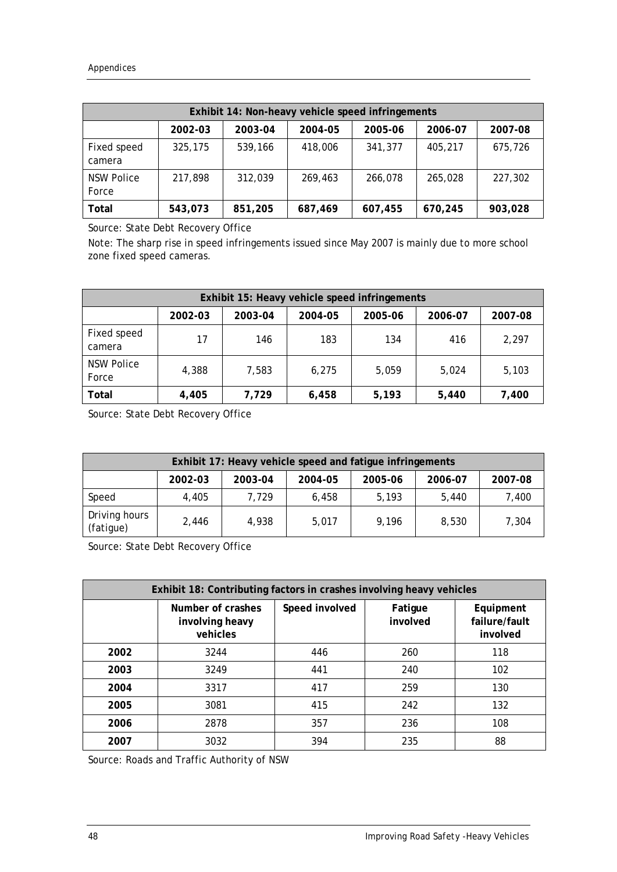|                            | Exhibit 14: Non-heavy vehicle speed infringements |         |         |         |         |         |
|----------------------------|---------------------------------------------------|---------|---------|---------|---------|---------|
|                            | 2002-03                                           | 2003-04 | 2004-05 | 2005-06 | 2006-07 | 2007-08 |
| Fixed speed<br>camera      | 325,175                                           | 539,166 | 418,006 | 341,377 | 405,217 | 675,726 |
| <b>NSW Police</b><br>Force | 217,898                                           | 312,039 | 269.463 | 266,078 | 265,028 | 227,302 |
| Total                      | 543,073                                           | 851,205 | 687,469 | 607,455 | 670,245 | 903,028 |

Source: State Debt Recovery Office

Note: The sharp rise in speed infringements issued since May 2007 is mainly due to more school zone fixed speed cameras.

| Exhibit 15: Heavy vehicle speed infringements |         |         |         |         |         |         |
|-----------------------------------------------|---------|---------|---------|---------|---------|---------|
|                                               | 2002-03 | 2003-04 | 2004-05 | 2005-06 | 2006-07 | 2007-08 |
| Fixed speed<br>camera                         | 17      | 146     | 183     | 134     | 416     | 2,297   |
| <b>NSW Police</b><br>Force                    | 4,388   | 7,583   | 6.275   | 5,059   | 5,024   | 5,103   |
| Total                                         | 4,405   | 7,729   | 6,458   | 5,193   | 5,440   | 7,400   |

Source: State Debt Recovery Office

| Exhibit 17: Heavy vehicle speed and fatigue infringements |         |         |         |         |         |         |
|-----------------------------------------------------------|---------|---------|---------|---------|---------|---------|
|                                                           | 2002-03 | 2003-04 | 2004-05 | 2005-06 | 2006-07 | 2007-08 |
| Speed                                                     | 4.405   | 7.729   | 6.458   | 5.193   | 5,440   | 7,400   |
| Driving hours<br>(fatigue)                                | 2.446   | 4.938   | 5.017   | 9.196   | 8,530   | 7,304   |

Source: State Debt Recovery Office

| Exhibit 18: Contributing factors in crashes involving heavy vehicles |                                                  |                |                     |                                        |  |  |
|----------------------------------------------------------------------|--------------------------------------------------|----------------|---------------------|----------------------------------------|--|--|
|                                                                      | Number of crashes<br>involving heavy<br>vehicles | Speed involved | Fatigue<br>involved | Equipment<br>failure/fault<br>involved |  |  |
| 2002                                                                 | 3244                                             | 446            | 260                 | 118                                    |  |  |
| 2003                                                                 | 3249                                             | 441            | 240                 | 102                                    |  |  |
| 2004                                                                 | 3317                                             | 417            | 259                 | 130                                    |  |  |
| 2005                                                                 | 3081                                             | 415            | 242                 | 132                                    |  |  |
| 2006                                                                 | 2878                                             | 357            | 236                 | 108                                    |  |  |
| 2007                                                                 | 3032                                             | 394            | 235                 | 88                                     |  |  |

Source: Roads and Traffic Authority of NSW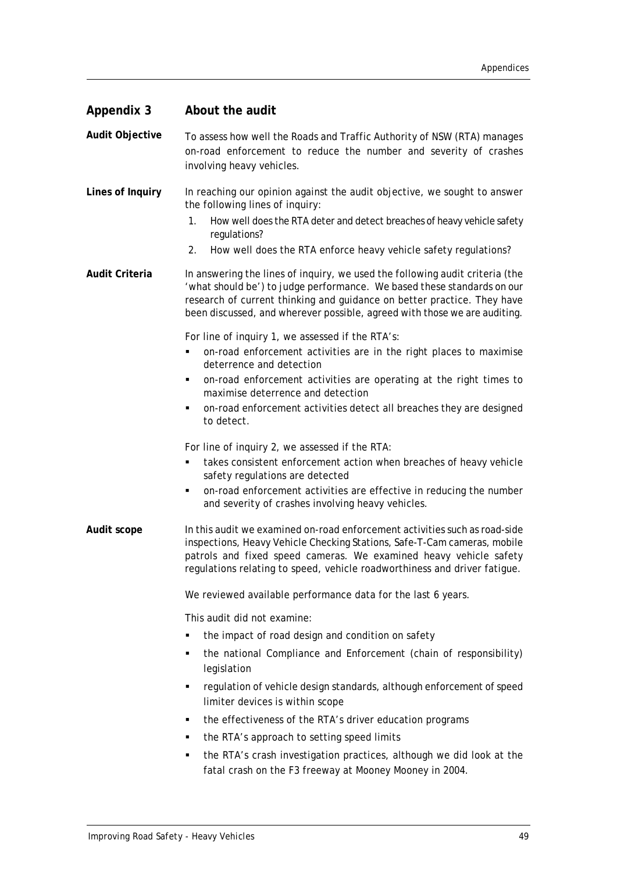<span id="page-54-0"></span>

| <b>Appendix 3</b>     | About the audit                                                                                                                                                                                                                                                                                                                                                    |
|-----------------------|--------------------------------------------------------------------------------------------------------------------------------------------------------------------------------------------------------------------------------------------------------------------------------------------------------------------------------------------------------------------|
| Audit Objective       | To assess how well the Roads and Traffic Authority of NSW (RTA) manages<br>on-road enforcement to reduce the number and severity of crashes<br>involving heavy vehicles.                                                                                                                                                                                           |
| Lines of Inquiry      | In reaching our opinion against the audit objective, we sought to answer<br>the following lines of inquiry:<br>How well does the RTA deter and detect breaches of heavy vehicle safety<br>1.<br>regulations?<br>How well does the RTA enforce heavy vehicle safety regulations?<br>2.                                                                              |
| <b>Audit Criteria</b> | In answering the lines of inquiry, we used the following audit criteria (the<br>'what should be') to judge performance. We based these standards on our<br>research of current thinking and guidance on better practice. They have<br>been discussed, and wherever possible, agreed with those we are auditing.                                                    |
|                       | For line of inquiry 1, we assessed if the RTA's:<br>on-road enforcement activities are in the right places to maximise<br>٠<br>deterrence and detection<br>on-road enforcement activities are operating at the right times to<br>٠<br>maximise deterrence and detection<br>on-road enforcement activities detect all breaches they are designed<br>٠<br>to detect. |
|                       | For line of inquiry 2, we assessed if the RTA:<br>takes consistent enforcement action when breaches of heavy vehicle<br>٠<br>safety regulations are detected<br>on-road enforcement activities are effective in reducing the number<br>٠<br>and severity of crashes involving heavy vehicles.                                                                      |
| Audit scope           | In this audit we examined on-road enforcement activities such as road-side<br>inspections, Heavy Vehicle Checking Stations, Safe-T-Cam cameras, mobile<br>patrols and fixed speed cameras. We examined heavy vehicle safety<br>regulations relating to speed, vehicle roadworthiness and driver fatigue.                                                           |
|                       | We reviewed available performance data for the last 6 years.                                                                                                                                                                                                                                                                                                       |
|                       | This audit did not examine:                                                                                                                                                                                                                                                                                                                                        |
|                       | the impact of road design and condition on safety                                                                                                                                                                                                                                                                                                                  |
|                       | the national Compliance and Enforcement (chain of responsibility)<br>٠<br>legislation                                                                                                                                                                                                                                                                              |
|                       | regulation of vehicle design standards, although enforcement of speed<br>٠<br>limiter devices is within scope                                                                                                                                                                                                                                                      |
|                       | the effectiveness of the RTA's driver education programs<br>٠                                                                                                                                                                                                                                                                                                      |
|                       | the RTA's approach to setting speed limits<br>٠                                                                                                                                                                                                                                                                                                                    |
|                       | the RTA's crash investigation practices, although we did look at the<br>٠<br>fatal crash on the F3 freeway at Mooney Mooney in 2004.                                                                                                                                                                                                                               |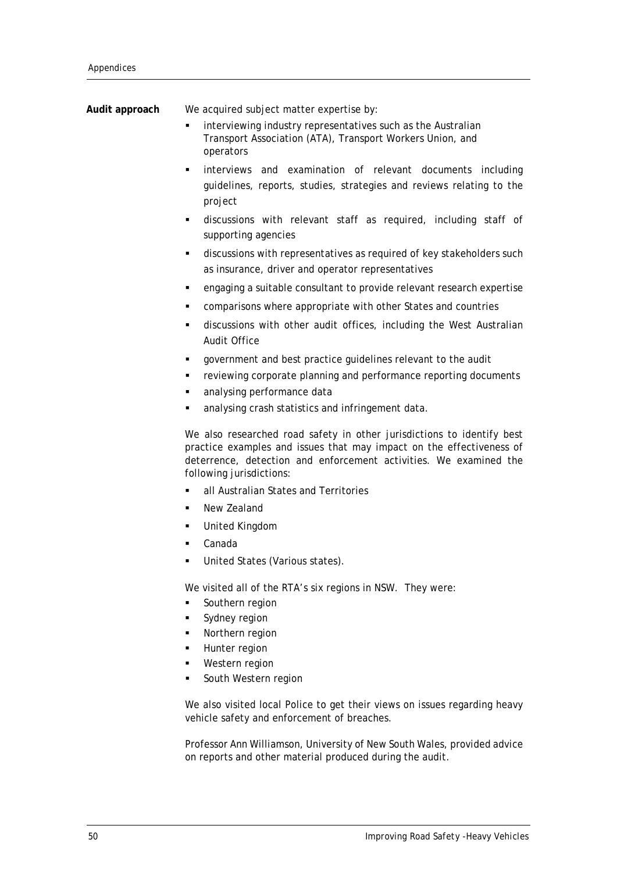| We acquired subject matter expertise by:                                                                                                                                                                                                        |
|-------------------------------------------------------------------------------------------------------------------------------------------------------------------------------------------------------------------------------------------------|
| interviewing industry representatives such as the Australian<br>Transport Association (ATA), Transport Workers Union, and<br>operators                                                                                                          |
| interviews and examination of relevant documents including<br>٠<br>guidelines, reports, studies, strategies and reviews relating to the<br>project                                                                                              |
| discussions with relevant staff as required, including staff of<br>٠<br>supporting agencies                                                                                                                                                     |
| discussions with representatives as required of key stakeholders such<br>٠<br>as insurance, driver and operator representatives                                                                                                                 |
| engaging a suitable consultant to provide relevant research expertise<br>٠                                                                                                                                                                      |
| comparisons where appropriate with other States and countries<br>٠                                                                                                                                                                              |
| discussions with other audit offices, including the West Australian<br>٠<br>Audit Office                                                                                                                                                        |
| government and best practice guidelines relevant to the audit<br>٠                                                                                                                                                                              |
| reviewing corporate planning and performance reporting documents<br>٠                                                                                                                                                                           |
| analysing performance data<br>٠                                                                                                                                                                                                                 |
| analysing crash statistics and infringement data.                                                                                                                                                                                               |
| We also researched road safety in other jurisdictions to identify best<br>practice examples and issues that may impact on the effectiveness of<br>deterrence, detection and enforcement activities. We examined the<br>following jurisdictions: |
| all Australian States and Territories<br>٠                                                                                                                                                                                                      |
| New Zealand<br>٠                                                                                                                                                                                                                                |
| United Kingdom<br>٠                                                                                                                                                                                                                             |
| Canada                                                                                                                                                                                                                                          |
| United States (Various states).                                                                                                                                                                                                                 |
| We visited all of the RTA's six regions in NSW. They were:                                                                                                                                                                                      |
| Southern region<br>٠                                                                                                                                                                                                                            |
| Sydney region<br>٠                                                                                                                                                                                                                              |
| Northern region<br>٠<br>٠                                                                                                                                                                                                                       |
| Hunter region<br>Western region<br>٠                                                                                                                                                                                                            |
| South Western region<br>٠                                                                                                                                                                                                                       |
| We also visited local Police to get their views on issues regarding heavy<br>vehicle safety and enforcement of breaches.                                                                                                                        |
|                                                                                                                                                                                                                                                 |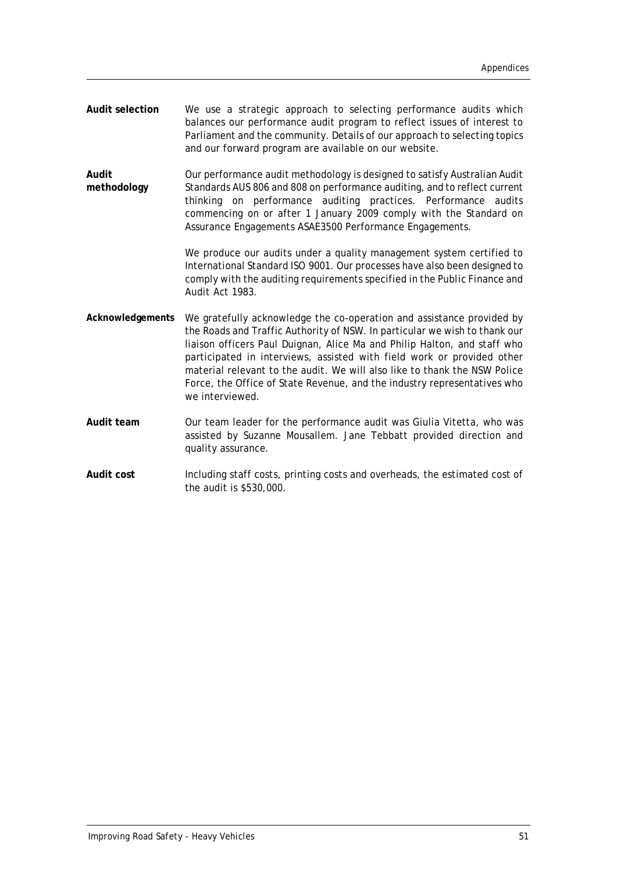- **Audit selection** We use a strategic approach to selecting performance audits which balances our performance audit program to reflect issues of interest to Parliament and the community. Details of our approach to selecting topics and our forward program are available on our website.
- **Audit methodology** Our performance audit methodology is designed to satisfy Australian Audit Standards AUS 806 and 808 on performance auditing, and to reflect current thinking on performance auditing practices. Performance audits commencing on or after 1 January 2009 comply with the Standard on Assurance Engagements ASAE3500 Performance Engagements.

We produce our audits under a quality management system certified to International Standard ISO 9001. Our processes have also been designed to comply with the auditing requirements specified in the *Public Finance and Audit Act 1983*.

- **Acknowledgements** We gratefully acknowledge the co-operation and assistance provided by the Roads and Traffic Authority of NSW. In particular we wish to thank our liaison officers Paul Duignan, Alice Ma and Philip Halton, and staff who participated in interviews, assisted with field work or provided other material relevant to the audit. We will also like to thank the NSW Police Force, the Office of State Revenue, and the industry representatives who we interviewed.
- **Audit team** Our team leader for the performance audit was Giulia Vitetta, who was assisted by Suzanne Mousallem. Jane Tebbatt provided direction and quality assurance.
- **Audit cost** Including staff costs, printing costs and overheads, the estimated cost of the audit is \$530,000.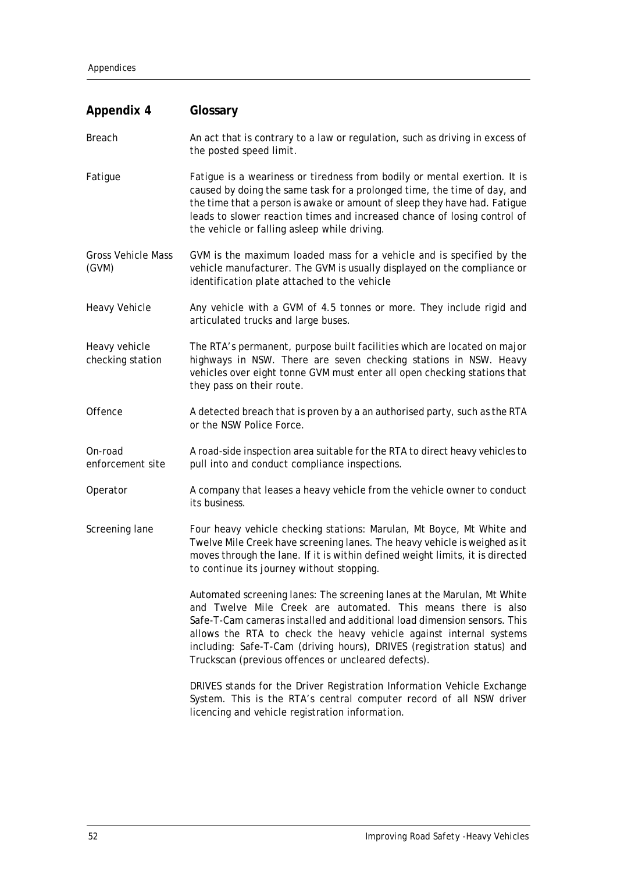<span id="page-57-0"></span>

| <b>Appendix 4</b>                  | Glossary                                                                                                                                                                                                                                                                                                                                                                                                                     |  |
|------------------------------------|------------------------------------------------------------------------------------------------------------------------------------------------------------------------------------------------------------------------------------------------------------------------------------------------------------------------------------------------------------------------------------------------------------------------------|--|
| <b>Breach</b>                      | An act that is contrary to a law or regulation, such as driving in excess of<br>the posted speed limit.                                                                                                                                                                                                                                                                                                                      |  |
| Fatigue                            | Fatigue is a weariness or tiredness from bodily or mental exertion. It is<br>caused by doing the same task for a prolonged time, the time of day, and<br>the time that a person is awake or amount of sleep they have had. Fatigue<br>leads to slower reaction times and increased chance of losing control of<br>the vehicle or falling asleep while driving.                                                               |  |
| <b>Gross Vehicle Mass</b><br>(GVM) | GVM is the maximum loaded mass for a vehicle and is specified by the<br>vehicle manufacturer. The GVM is usually displayed on the compliance or<br>identification plate attached to the vehicle                                                                                                                                                                                                                              |  |
| <b>Heavy Vehicle</b>               | Any vehicle with a GVM of 4.5 tonnes or more. They include rigid and<br>articulated trucks and large buses.                                                                                                                                                                                                                                                                                                                  |  |
| Heavy vehicle<br>checking station  | The RTA's permanent, purpose built facilities which are located on major<br>highways in NSW. There are seven checking stations in NSW. Heavy<br>vehicles over eight tonne GVM must enter all open checking stations that<br>they pass on their route.                                                                                                                                                                        |  |
| Offence                            | A detected breach that is proven by a an authorised party, such as the RTA<br>or the NSW Police Force.                                                                                                                                                                                                                                                                                                                       |  |
| On-road<br>enforcement site        | A road-side inspection area suitable for the RTA to direct heavy vehicles to<br>pull into and conduct compliance inspections.                                                                                                                                                                                                                                                                                                |  |
| Operator                           | A company that leases a heavy vehicle from the vehicle owner to conduct<br>its business.                                                                                                                                                                                                                                                                                                                                     |  |
| Screening lane                     | Four heavy vehicle checking stations: Marulan, Mt Boyce, Mt White and<br>Twelve Mile Creek have screening lanes. The heavy vehicle is weighed as it<br>moves through the lane. If it is within defined weight limits, it is directed<br>to continue its journey without stopping.                                                                                                                                            |  |
|                                    | Automated screening lanes: The screening lanes at the Marulan, Mt White<br>and Twelve Mile Creek are automated. This means there is also<br>Safe-T-Cam cameras installed and additional load dimension sensors. This<br>allows the RTA to check the heavy vehicle against internal systems<br>including: Safe-T-Cam (driving hours), DRIVES (registration status) and<br>Truckscan (previous offences or uncleared defects). |  |
|                                    | DRIVES stands for the Driver Registration Information Vehicle Exchange<br>System. This is the RTA's central computer record of all NSW driver<br>licencing and vehicle registration information.                                                                                                                                                                                                                             |  |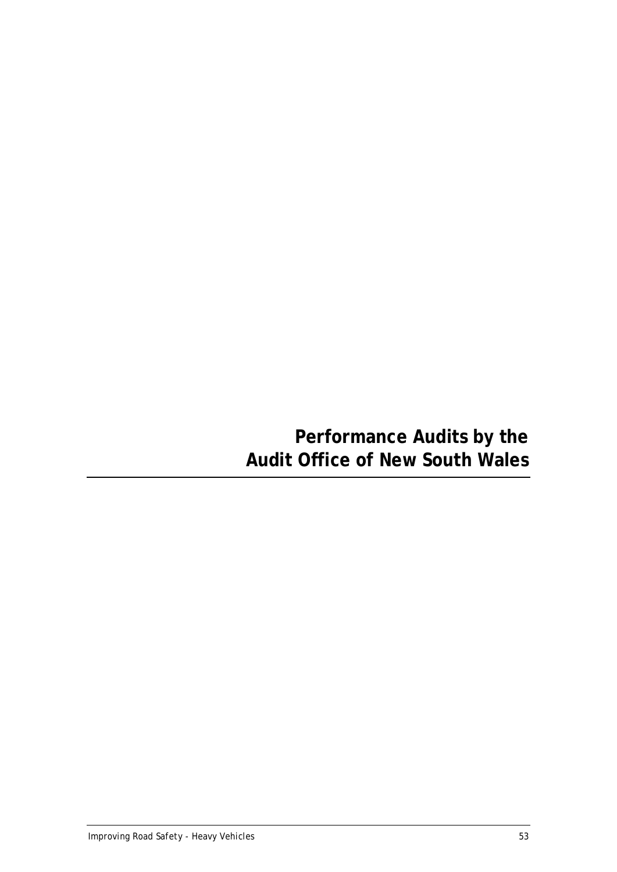# <span id="page-58-0"></span>**Performance Audits by the Audit Office of New South Wales**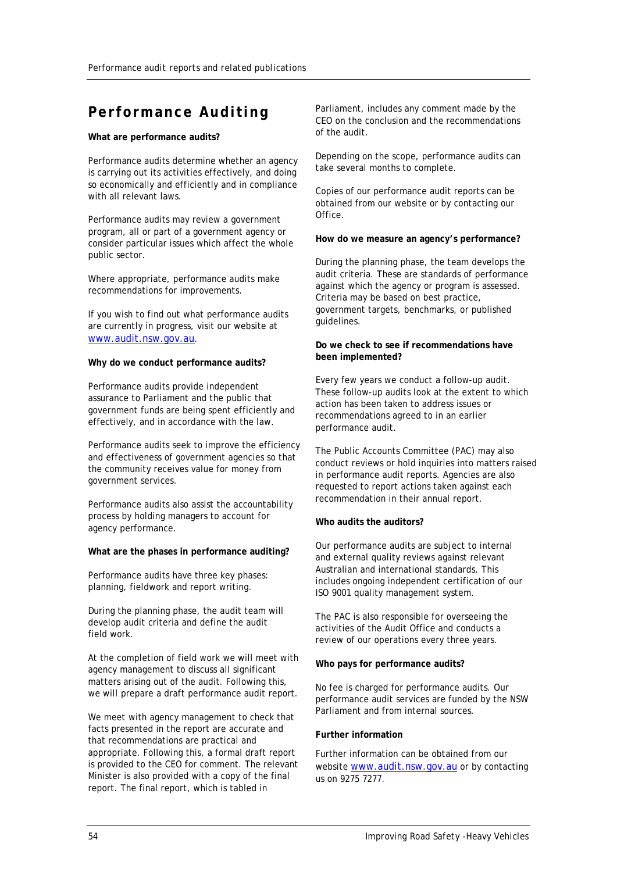# **Performance Auditing**

#### **What are performance audits?**

Performance audits determine whether an agency is carrying out its activities effectively, and doing so economically and efficiently and in compliance with all relevant laws.

Performance audits may review a government program, all or part of a government agency or consider particular issues which affect the whole public sector.

Where appropriate, performance audits make recommendations for improvements.

If you wish to find out what performance audits are currently in progress, visit our website at [www.audit.nsw.gov.au.](http://www.audit.nsw.gov.au/)

#### **Why do we conduct performance audits?**

Performance audits provide independent assurance to Parliament and the public that government funds are being spent efficiently and effectively, and in accordance with the law.

Performance audits seek to improve the efficiency and effectiveness of government agencies so that the community receives value for money from government services.

Performance audits also assist the accountability process by holding managers to account for agency performance.

#### **What are the phases in performance auditing?**

Performance audits have three key phases: planning, fieldwork and report writing.

During the planning phase, the audit team will develop audit criteria and define the audit field work.

At the completion of field work we will meet with agency management to discuss all significant matters arising out of the audit. Following this, we will prepare a draft performance audit report.

We meet with agency management to check that facts presented in the report are accurate and that recommendations are practical and appropriate. Following this, a formal draft report is provided to the CEO for comment. The relevant Minister is also provided with a copy of the final report. The final report, which is tabled in

Parliament, includes any comment made by the CEO on the conclusion and the recommendations of the audit.

Depending on the scope, performance audits can take several months to complete.

Copies of our performance audit reports can be obtained from our website or by contacting our Office.

#### **How do we measure an agency's performance?**

During the planning phase, the team develops the audit criteria. These are standards of performance against which the agency or program is assessed. Criteria may be based on best practice, government targets, benchmarks, or published guidelines.

#### **Do we check to see if recommendations have been implemented?**

Every few years we conduct a follow-up audit. These follow-up audits look at the extent to which action has been taken to address issues or recommendations agreed to in an earlier performance audit.

The Public Accounts Committee (PAC) may also conduct reviews or hold inquiries into matters raised in performance audit reports. Agencies are also requested to report actions taken against each recommendation in their annual report.

#### **Who audits the auditors?**

Our performance audits are subject to internal and external quality reviews against relevant Australian and international standards. This includes ongoing independent certification of our ISO 9001 quality management system.

The PAC is also responsible for overseeing the activities of the Audit Office and conducts a review of our operations every three years.

#### **Who pays for performance audits?**

No fee is charged for performance audits. Our performance audit services are funded by the NSW Parliament and from internal sources.

#### **Further information**

Further information can be obtained from our website [www.audit.nsw.gov.au](http://www.audit.nsw.gov.au/) or by contacting us on 9275 7277.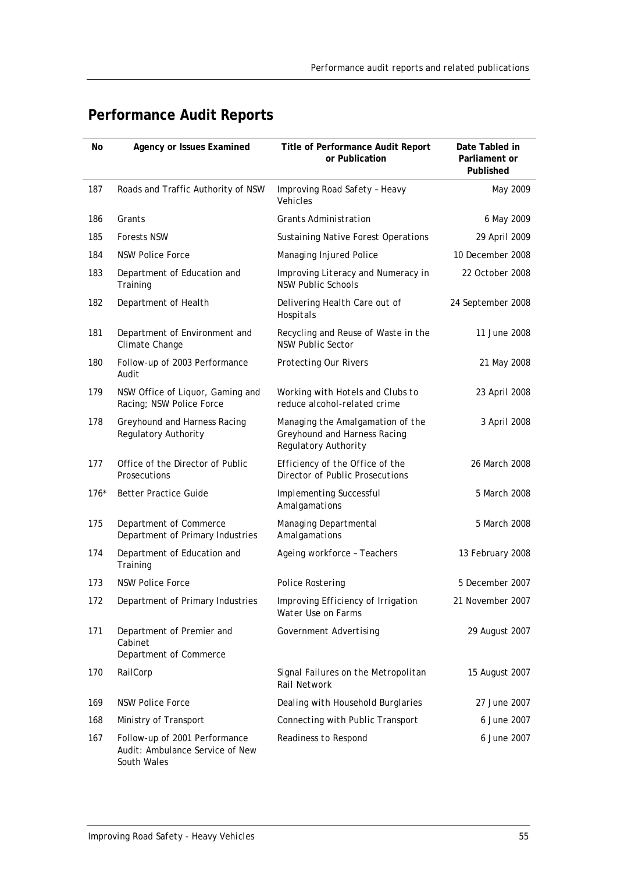| <b>Performance Audit Reports</b> |  |  |
|----------------------------------|--|--|
|----------------------------------|--|--|

| No     | Agency or Issues Examined                                        | Title of Performance Audit Report<br>or Publication                                      | Date Tabled in<br>Parliament or<br>Published |
|--------|------------------------------------------------------------------|------------------------------------------------------------------------------------------|----------------------------------------------|
| 187    | Roads and Traffic Authority of NSW                               | Improving Road Safety - Heavy<br>Vehicles                                                | May 2009                                     |
| 186    | Grants                                                           | <b>Grants Administration</b>                                                             | 6 May 2009                                   |
| 185    | <b>Forests NSW</b>                                               | <b>Sustaining Native Forest Operations</b>                                               | 29 April 2009                                |
| 184    | <b>NSW Police Force</b>                                          | Managing Injured Police                                                                  | 10 December 2008                             |
| 183    | Department of Education and<br>Training                          | Improving Literacy and Numeracy in<br><b>NSW Public Schools</b>                          | 22 October 2008                              |
| 182    | Department of Health                                             | Delivering Health Care out of<br>Hospitals                                               | 24 September 2008                            |
| 181    | Department of Environment and<br>Climate Change                  | Recycling and Reuse of Waste in the<br><b>NSW Public Sector</b>                          | 11 June 2008                                 |
| 180    | Follow-up of 2003 Performance<br>Audit                           | <b>Protecting Our Rivers</b>                                                             | 21 May 2008                                  |
| 179    | NSW Office of Liquor, Gaming and<br>Racing; NSW Police Force     | Working with Hotels and Clubs to<br>reduce alcohol-related crime                         | 23 April 2008                                |
| 178    | Greyhound and Harness Racing<br>Regulatory Authority             | Managing the Amalgamation of the<br>Greyhound and Harness Racing<br>Regulatory Authority | 3 April 2008                                 |
| 177    | Office of the Director of Public<br>Prosecutions                 | Efficiency of the Office of the<br>Director of Public Prosecutions                       | 26 March 2008                                |
| $176*$ | <b>Better Practice Guide</b>                                     | <b>Implementing Successful</b><br>Amalgamations                                          | 5 March 2008                                 |
| 175    | Department of Commerce<br>Department of Primary Industries       | Managing Departmental<br>Amalgamations                                                   | 5 March 2008                                 |
| 174    | Department of Education and<br>Training                          | Ageing workforce - Teachers                                                              | 13 February 2008                             |
| 173    | <b>NSW Police Force</b>                                          | <b>Police Rostering</b>                                                                  | 5 December 2007                              |
| 172    | Department of Primary Industries                                 | Improving Efficiency of Irrigation<br>Water Use on Farms                                 | 21 November 2007                             |
| 171    | Department of Premier and<br>Cabinet<br>Department of Commerce   | <b>Government Advertising</b>                                                            | 29 August 2007                               |
| 170    | RailCorp                                                         | Signal Failures on the Metropolitan<br><b>Rail Network</b>                               | 15 August 2007                               |
| 169    | <b>NSW Police Force</b>                                          | Dealing with Household Burglaries                                                        | 27 June 2007                                 |
| 168    | Ministry of Transport                                            | Connecting with Public Transport                                                         | 6 June 2007                                  |
| 167    | Follow-up of 2001 Performance<br>Audit: Ambulance Service of New | Readiness to Respond                                                                     | 6 June 2007                                  |

South Wales